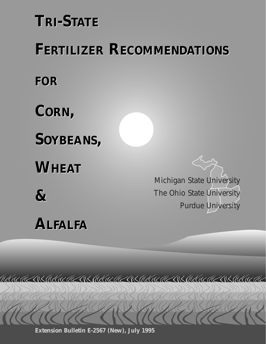# **TRI-STATE TRI-STATE**

# **FERTILIZER RECOMMENDATIONS FERTILIZER RECOMMENDATIONS**

MANAMA NSMANAMAS SHANAMA NSMANAMA NSMANAMA NSMANAMA

*FOR FOR* 

**CORN, CORN,** 

**SOYBEANS, SOYBEANS,** 

**WHEAT WHEAT** 

**& &** 

# **ALFALFA ALFALFA**

Michigan State University The Ohio State University Purdue University

**Extension Bulletin E-2567 (New), July 1995**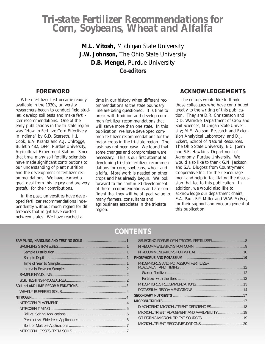## *Tri-state Fertilizer Recommendations for Corn, Soybeans, Wheat and Alfalfa*

**M.L. Vitosh,** Michigan State University **J.W. Johnson,** The Ohio State University **D.B. Mengel,** Purdue University *Co-editors* 

### **FOREWORD**

When fertilizer first became readily available in the 1930s, university researchers began to conduct field studies, develop soil tests and make fertilizer recommendations. One of the early publications in the tri-state region was "How to Fertilize Corn Effectively in Indiana" by G.D. Scarseth, H.L. Cook, B.A. Krantz and A.J. Ohlrogge, Bulletin 482, 1944, Purdue University, Agricultural Experiment Station. Since that time, many soil fertility scientists have made significant contributions to our understanding of plant nutrition and the development of fertilizer recommendations. We have learned a great deal from this legacy and are very grateful for their contributions.

In the past, universities have developed fertilizer recommendations independently without much regard for differences that might have existed between states. We have reached a

time in our history when different recommendations at the state boundary line are being questioned. It is time to break with tradition and develop common fertilizer recommendations that will serve more than one state. In this publication, we have developed common fertilizer recommendations for the major crops in the tri-state region. The task has not been easy. We found that some changes and compromises were necessary. This is our first attempt at developing tri-state fertilizer recommendations for corn, soybeans, wheat and alfalfa. More work is needed on other crops and has already begun. We look forward to the continued development of these recommendations and are confident that they will be of great value to many farmers, consultants and agribusiness associates in the tri-state region.

#### **ACKNOWLEDGEMENTS**

The editors would like to thank those colleagues who have contributed greatly to the writing of this publication. They are D.R. Christenson and D.D. Warncke, Department of Crop and Soil Sciences, Michigan State University; M.E. Watson, Research and Extension Analytical Laboratory, and D.J. Eckert, School of Natural Resources, The Ohio State University; B.C. Joern and S.E. Hawkins, Department of Agronomy, Purdue University. We would also like to thank G.N. Jackson and S.A. Dlugosz from Countrymark Cooperative Inc. for their encouragement and help in facilitating the discussion that led to this publication. In addition, we would also like to acknowledge our department chairs, E.A. Paul, F.P. Miller and W.W. McFee, for their support and encouragement of this publication.

## **CONTENTS**

| PHOSPHORUS AND POTASSIUM FERTILIZER |  |
|-------------------------------------|--|
|                                     |  |
|                                     |  |
|                                     |  |
|                                     |  |
|                                     |  |
|                                     |  |
|                                     |  |
|                                     |  |
|                                     |  |
|                                     |  |
|                                     |  |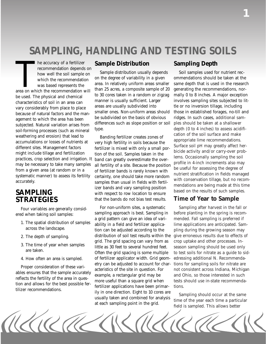# *SAMPLING, HANDLING AND TESTING SOILS*

The accuracy of a fertilizer<br>recommendation depends on<br>how well the soil sample on<br>which the recommendation<br>was based represents the<br>area on which the recommendation will he accuracy of a fertilizer recommendation depends on how well the soil sample on which the recommendation was based represents the be used. The physical and chemical characteristics of soil in an area can vary considerably from place to place because of natural factors and the management to which the area has been subjected. Natural variation arises from soil-forming processes (such as mineral weathering and erosion) that lead to accumulations or losses of nutrients at different sites. Management factors might include tillage and fertilization practices, crop selection and irrigation. It may be necessary to take many samples from a given area (at random or in a systematic manner) to assess its fertility accurately.

## **SAMPLING STRATEGIES**

Four variables are generally considered when taking soil samples:

- 1. The spatial distribution of samples across the landscape.
- 2. The depth of sampling.
- 3. The time of year when samples are taken.
- 4. How often an area is sampled.

Proper consideration of these variables ensures that the sample accurately reflects the fertility of the area in question and allows for the best possible fertilizer recommendations.

#### **Sample Distribution**

Sample distribution usually depends on the degree of variability in a given area. In relatively uniform areas smaller than 25 acres, a composite sample of 20 to 30 cores taken in a random or zigzag manner is usually sufficient. Larger areas are usually subdivided into smaller ones. Non-uniform areas should be subdivided on the basis of obvious differences such as slope position or soil type.

Banding fertilizer creates zones of very high fertility in soils because the fertilizer is mixed with only a small portion of the soil. Samples taken in the band can greatly overestimate the overall fertility of a site. Because the position of fertilizer bands is rarely known with certainty, one should take more random samples than usual in fields with fertilizer bands and vary sampling position with respect to row location to ensure that the bands do not bias test results.

For non-uniform sites, a systematic sampling approach is best. Sampling in a grid pattern can give an idea of variability in a field and fertilizer application can be adjusted according to the distribution of soil test results within the grid. The grid spacing can vary from as little as 30 feet to several hundred feet. Often the grid spacing is some multiple of fertilizer applicator width. Grid geometry can be adjusted to account for characteristics of the site in question. For example, a rectangular grid may be more useful than a square grid when fertilizer applications have been primarily in one direction. Eight to 10 cores are usually taken and combined for analysis at each sampling point in the grid.

## **Sampling Depth**

Soil samples used for nutrient recommendations should be taken at the same depth that is used in the research generating the recommendations, normally 0 to 8 inches. A major exception involves sampling sites subjected to little or no inversion tillage, including those in established forages, no-till and ridges. In such cases, *additional* samples should be taken at a shallower depth (0 to 4 inches) to assess acidification of the soil surface and make appropriate lime recommendations. Surface soil pH may greatly affect herbicide activity and/or carry-over problems. Occasionally sampling the soil profile in 4-inch increments also may be useful for assessing the degree of nutrient stratification in fields managed with conservation tillage, but no recommendations are being made at this time based on the results of such samples.

## **Time of Year to Sample**

Sampling after harvest in the fall or before planting in the spring is recommended. Fall sampling is preferred if lime applications are anticipated. Sampling during the growing season may give erroneous results due to effects of crop uptake and other processes. Inseason sampling should be used only to test soils for nitrate as a guide to sidedressing additional N. Recommendations for sampling soils for nitrate are not consistent across Indiana, Michigan and Ohio, so those interested in such tests should use in-state recommendations.

Sampling should occur at the same time of the year each time a particular field is sampled. This allows better

KIA The  $\sqrt{2}$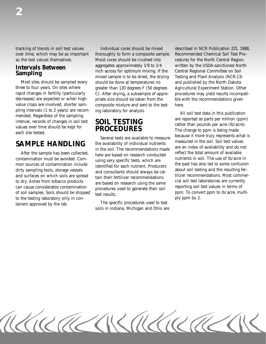tracking of trends in soil test values Individual cores should be mixed described in NCR Publication 221, 1988,

pling intervals (1 to 2 years) are recom-<br>mended. Regardless of the sampling are reported as parts per million (ppm)

After the sample has been collected, here are based on research conducted reflect the total amount of available contamination must be avoided. Comto dry. Ashes from tobacco products are based on research using the same cal soil test laboratories are currently<br>can cause considerable contamination procedures used to generate their soil reporting soil test values in te to the testing laboratory only in con-<br>to the testing laboratory only in con-<br>ply ppm by 2. tainers approved by the lab. The specific procedures used to test

over time, which may be as important thoroughly to form a composite sample. Recommended Chemical Soil Test Proas the test values themselves. Moist cores should be crushed into cedures for the North Central Region, **Intervals Between** aggregates approximately 1/8 to 1/4 written by the USDA-sanctioned North<br> **Sampling** inch across for optimum mixing. If the Central Regional Committee on Soil **Sampling** Exercises inch across for optimum mixing. If the Central Regional Committee on Soil mixed sample is to be dried, the drying Testing and Plant Analysis (NCR-13) mixed sample is to be dried, the drying Most sites should be sampled every should be done at temperatures no and published by the North Dakota three to four years. On sites where greater than 120 degrees F (50 degrees Agricultural Experiment Station. Other rapid changes in fertility (particularly  $C$ ). After drying, a subsample of appro- procedures may yield results incompatidecreases) are expected or when high-<br>
priate size should be taken from the ble with the recommendations given value crops are involved, shorter sam-composite mixture and sent to the test-here.

**SAMPLE HANDLING** the availability of individual nutrients in the soil. Soil test values in the soil. The recommendations made are an index of availability and do not reflect the total amount of available

soils in Indiana, Michigan and Ohio are

merival, records of changes in soil test<br>interval, records of changes in soil test<br>values over time should be kept for<br>each site tested.<br>Several tests are available to measure<br>Several tests are available to measure contamination must be avoided. Com-<br>
mon sources of contamination include<br>
directified for each nutrient. Producers<br>
direction about soil testing and the resulting fer-<br>
direction<br>
direction about soil testing and the resu dirty sampling tools, storage vessels and consultants should always be cer-<br>and surfaces on which soils are spread<br>to dry. Ashes from tobacco products are based on research using the same<br>cial soil test laboratories are cu

KIRAKARAKIRAKI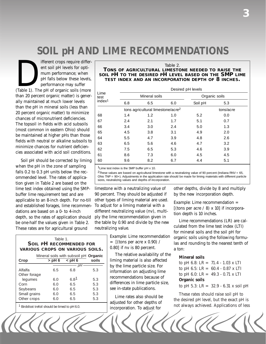# *SOIL pH AND LIME RECOMMENDATIONS*

Ifferent crops require different soil pH levels for optimum performance; when<br>pH falls below these levels,<br>performance may suffer<br>(Table 1). The pH of organic soils (more ent soil pH levels for optimum performance; when pH falls below these levels, performance may suffer than 20 percent organic matter) is generally maintained at much lower levels than the pH in mineral soils (less than 20 percent organic matter) to minimize chances of micronutrient deficiencies. The topsoil in fields with acid subsoils (most common in eastern Ohio) should be maintained at higher pHs than those fields with neutral or alkaline subsoils to minimize chances for nutrient deficiencies associated with acid soil conditions.

Soil pH should be corrected by liming when the pH in the zone of sampling falls 0.2 to 0.3 pH units below the recommended level. The rates of application given in Table 2 are based on the lime test index obtained using the SMPbuffer lime requirement test and are applicable to an 8-inch depth. For no-till and established forages, lime recommendations are based on a 0- to 4-inch depth, so the rates of application should be one-half the values given in Table 2. These rates are for agricultural ground

| Table 1.                               |                                              |                                |       |  |  |  |  |
|----------------------------------------|----------------------------------------------|--------------------------------|-------|--|--|--|--|
|                                        |                                              | <b>SOIL PH RECOMMENDED FOR</b> |       |  |  |  |  |
| <b>VARIOUS CROPS ON VARIOUS SOILS.</b> |                                              |                                |       |  |  |  |  |
|                                        | Mineral soils with subsoil pH <b>Organic</b> |                                |       |  |  |  |  |
| Crop                                   | $>$ pH 6                                     | <br>ch <sub>0</sub>            | soils |  |  |  |  |
|                                        |                                              | pН                             |       |  |  |  |  |
| Alfalfa                                | 6.5                                          | 6.8                            | 5.3   |  |  |  |  |
| Other forage                           |                                              |                                |       |  |  |  |  |
| lequmes                                | 6.0                                          | $6.8^{\text{1}}$               | 5.3   |  |  |  |  |
| Corn                                   | 6.0                                          | 6.5                            | 5.3   |  |  |  |  |
| Soybeans                               | 6.0                                          | 6.5                            | 5.3   |  |  |  |  |
| Small grains                           | 6.0                                          | 6.5                            | 5.3   |  |  |  |  |
| Other crops                            | 6.0                                          | 6.5                            | 5.3   |  |  |  |  |

1 Birdsfoot trefoil should be limed to pH 6.0.

Table 2. **TONS OF AGRICULTURAL LIMESTONE NEEDED TO RAISE THE SOIL PH TO THE DESIRED PH LEVEL BASED ON THE SMP LIME TEST INDEX AND AN INCORPORATION DEPTH OF 8 INCHES.** 

|                    | Desired pH levels |                                               |     |           |               |  |  |
|--------------------|-------------------|-----------------------------------------------|-----|-----------|---------------|--|--|
| Lime<br>test       |                   | Mineral soils                                 |     |           | Organic soils |  |  |
| index <sup>1</sup> | 6.8               | 6.5                                           | 6.0 | Soil pH   | 5.3           |  |  |
|                    |                   | tons agricultural limestone/acre <sup>2</sup> |     | tons/acre |               |  |  |
| 68                 | 1.4               | 1.2                                           | 1.0 | 5.2       | 0.0           |  |  |
| 67                 | 2.4               | 2.1                                           | 1.7 | 5.1       | 0.7           |  |  |
| 66                 | 3.4               | 3.0                                           | 2.4 | 5.0       | 1.3           |  |  |
| 65                 | 4.5               | 3.8                                           | 3.1 | 4.9       | 2.0           |  |  |
| 64                 | 5.5               | 4.7                                           | 3.9 | 4.8       | 2.6           |  |  |
| 63                 | 6.5               | 5.6                                           | 4.6 | 4.7       | 3.2           |  |  |
| 62                 | 7.5               | 6.5                                           | 5.3 | 4.6       | 3.9           |  |  |
| 61                 | 8.6               | 7.3                                           | 6.0 | 4.5       | 4.5           |  |  |
| 60                 | 9.6               | 8.2                                           | 6.7 | 4.4       | 5.1           |  |  |

<sup>1</sup> Lime test index is the SMP buffer pH x 10.

 $2$ These values are based on agricultural limestone with a neutralizing value of 90 percent (Indiana RNV = 65, Ohio TNP = 90+). Adjustments in the application rate should be made for liming materials with different particle sizes, neutralizing values and depths of incorporation.

limestone with a neutralizing value of 90 percent. They should be adjusted if other types of liming material are used. To adjust for a liming material with a different neutralizing value (nv), multiply the lime recommendation given in the table by 0.90 and divide by the new neutralizing value.

> *Example:* Lime recommendation  $=$  [(tons per acre x 0.90) / 0.80] if nv is 80 percent.

The relative availability of the liming material is also affected by the lime particle size. For information on adjusting lime recommendations because of differences in lime particle size, see in-state publications.

Lime rates also should be adjusted for other depths of incorporation. To adjust for

other depths, divide by 8 and multiply by the new incorporation depth.

*Example:* Lime recommendation = [(tons per acre  $\ell$  8) x 10] if incorporation depth is 10 inches.

Lime recommendations (LR) are calculated from the lime test index (LTI) for mineral soils and the soil pH for organic soils using the following formulas and rounding to the nearest tenth of a ton:

#### **Mineral soils**

to pH 6.8: LR = 71.4 - 1.03 x LTI to pH 6.5:  $LR = 60.4 - 0.87$  x LTI to pH 6.0:  $LR = 49.3 - 0.71$  x LTI **Organic soils**  to pH 5.3: LR = 32.9 - 6.31 x soil pH

These rates should raise soil pH to the desired pH level, but the exact pH is not always achieved. Applications of less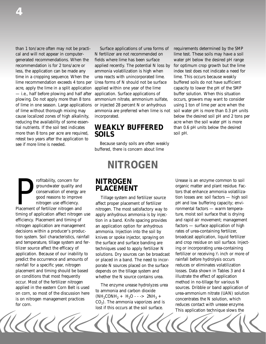reducing the availability of some essen-<br>  $\blacksquare$ tial nutrients. If the soil test indicates **WEAKLY BUFFERED** than 0.6 pH units below the desired more than 8 tons per acre are required, **SOILS** more than 8 tons per acre are required, retest two years after the application to see if more lime is needed. Because sandy soils are often weakly

Fortability, concern for<br>groundwater quality and<br>conservation of energy are<br>good reasons to improve<br>introgen use efficiency.<br>Placement of fertilizer nitrogen and<br>timing of application affect nitrogen use efficiency. Placement and timing of tion in a band. Knife spacing provides and rapid air movement; management nitrogen application are management an application option for anhydrous factors - surface application of high decisions within a producer's produc-<br>
ammonia. Injection into the soil by rates of urea-containing fertilizer, tion system. Soil characteristics, rainfall knives or spoke injector, spraying on broadcast application, liquid fertilizer and temperature, tillage system and fer-<br>the surface and surface banding are and crop residue on soil surface. Injecttilizer source affect the efficacy of techniques used to apply fertilizer N ing or incorporating urea-containing application. Because of our inability to solutions. Dry sources can be broadcast predict the occurrence and amounts of or placed in a band. The need to incor-<br>
predict the surfall for a specific vear, nitrogen<br>
predict a specific vear, nitrogen<br>
predict a specific vear, nitrogen<br>
predict a specific vea rainfall for a specific year, nitrogen porate N sources placed on the surface placement and timing should be based depends on the tillage system and losses. Data shown in Tables 3 and 4 on conditions that most frequently whether the N source contains urea. Illustrate the effect of application occur. Most of the fertilizer nitrogen

than 1 ton/acre often may not be practi-<br>Surface applications of urea forms of requirements determined by the SMP cal and will not appear in computer- N fertilizer are not recommended on lime test. These soils may have a soil generated recommendations. When the fields where lime has been surface water pH below the desired pH range recommendation is for 2 tons/acre or applied recently. The potential N loss by for optimum crop growth but the lime less, the application can be made any ammonia volatilization is high when index test does not indicate a need for time in a cropping sequence. When the urea reacts with unincorporated lime. lime. This occurs because weakly lime recommendation exceeds 4 tons per Urea forms of N should not be surface buffered soils do not have sufficient acre, apply the lime in a split application applied within one year of the lime capacity to lower the pH of the SMP — i.e., half before plowing and half after application. Surface applications of buffer solution. When this situation plowing. Do not apply more than 8 tons ammonium nitrate, ammonium sulfate, occurs, growers may want to consider of lime in one season. Large applications or injected 28 percent N or anhydrous using 1 ton of lime per acre when the of lime without thorough mixing may ammonia are preferred when lime is not soil water pH is more than 0.3 pH units

buffered, there is concern about lime

## *NITROGEN*

affect proper placement of fertilizer pH and low buffering capacity; envinitrogen. The most satisfactory way to ronmental factors — warm temperaapply anhydrous ammonia is by injec-<br>ture, moist soil surface that is drying

cause localized zones of high alkalinity, incorporated. below the desired soil pH and 2 tons per

**NITROGEN** Urease is an enzyme common to soil<br> **PLACEMENT** organic matter and plant residue. Facorganic matter and plant residue. Factors that enhance ammonia volatiliza-Tillage system and fertilizer source tion losses are: soil factors - high soil fertilizer or receiving  $\frac{1}{2}$  inch or more of occur. Most of the fertilizer nitrogen<br>applied in the eastern Corn Belt is used<br>on corn, so most of the discussion here<br>is on nitrogen management practices<br>for corn.<br>discussion here<br> $(NA_2CONH_2 + H_2O - - - > 2NH_3 +$ <br> $CO_2$ ). The a This application technique slows the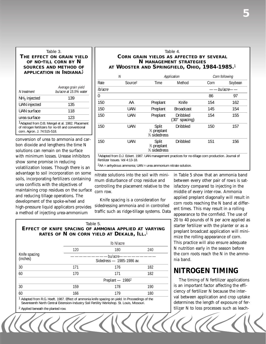#### Table 3.

#### **THE EFFECT ON GRAIN YIELD OF NO-TILL CORN BY N SOURCES AND METHOD OF APPLICATION IN INDIANA.** 1

| N treatment                 | Average grain yield<br>bu/acre at 15.5% water                                                                        |
|-----------------------------|----------------------------------------------------------------------------------------------------------------------|
| $NH3$ injected              | 139                                                                                                                  |
| <b>UAN</b> injected         | 135                                                                                                                  |
| UAN surface                 | 118                                                                                                                  |
| urea surface                | 123                                                                                                                  |
| corn. Agron. J. 74:515-518. | <sup>1</sup> Adapted from D.B. Mengel et al. 1982. Placement<br>of nitrogen fertilizers for no-till and conventional |

conversion of urea to ammonia and carbon dioxide and lengthens the time N solutions can remain on the surface with minimum losses. Urease inhibitors show some promise in reducing volatilization losses. Though there is an advantage to soil incorporation on some soils, incorporating fertilizers containing urea conflicts with the objectives of

#### Table 4. **CORN GRAIN YIELDS AS AFFECTED BY SEVERAL N MANAGEMENT STRATEGIES AT WOOSTER AND SPRINGFIELD, OHIO, 1984-1985.**1

|                | N                   |                                                  | Application                      |      | Corn following |
|----------------|---------------------|--------------------------------------------------|----------------------------------|------|----------------|
| Rate           | Source <sup>2</sup> | Time                                             | Method                           | Corn | Soybean        |
| lb/acre        |                     |                                                  |                                  |      | bu/acre-       |
| $\overline{0}$ |                     |                                                  |                                  | 86   | 97             |
| 150            | AA                  | Preplant                                         | Knife                            | 154  | 162            |
| 150            | <b>UAN</b>          | Preplant                                         | <b>Broadcast</b>                 | 145  | 154            |
| 150            | <b>UAN</b>          | Preplant                                         | <b>Dribbled</b><br>(30" spacing) | 154  | 155            |
| 150            | <b>UAN</b>          | Split<br>1/ <sub>2</sub> preplant<br>% sidedress | <b>Dribbled</b>                  | 150  | 157            |
| 150            | <b>UAN</b>          | Split<br>% preplant<br>1/ <sub>3</sub> sidedress | <b>Dribbled</b>                  | 151  | 156            |

1Adapted from D.J. Eckert. 1987. UAN management practices for no-tillage corn production. Journal of Fertilizer Issues. Vol 4:13-18.

 $\sqrt{\frac{1}{2}}$ 

 $2AA =$  anhydrous ammonia; UAN = urea ammonium nitrate solution.

mum disturbance of crop residue and between every other pair of rows is sat-

#### Table 5. **EFFECT OF KNIFE SPACING OF AMMONIA APPLIED AT VARYING RATES OF N ON CORN YIELD AT DEKALB, ILL.**1

|                           |                                        | Ib N/acre                    |     |  |  |
|---------------------------|----------------------------------------|------------------------------|-----|--|--|
|                           | 120                                    | 180                          | 240 |  |  |
| Knife spacing<br>(inches) | -bu/acre-<br>Sidedress - 1985-1986 av. |                              |     |  |  |
| 30                        | 171                                    | 176                          | 182 |  |  |
| 60                        | 170                                    | 171                          | 182 |  |  |
|                           |                                        | Preplant - 1986 <sup>2</sup> |     |  |  |
| 30                        | 159                                    | 178                          | 190 |  |  |
| 60                        | 166                                    | 179                          | 180 |  |  |

1 Adapted from R.G. Hoeft. 1987. Effect of ammonia knife spacing on yield. In Proceedings of the Seventeenth North Central Extension-Industry Soil Fertility Workshop. St. Louis, Missouri.

2 Applied beneath the planted row.

nitrate solutions into the soil with mini- in Table 5 show that an ammonia band maintaining crop residues on the surface<br>and reducing tillage operations. The<br>development of the spoke-wheel and<br>high-pressure liquid applicators provides sidedressing ammonia and in controlled<br>a method of injecting urea-a 20 to 40 pounds of N per acre applied as starter fertilizer with the planter or as a preplant broadcast application will minimize the rolling appearance of corn. This practice will also ensure adequate N nutrition early in the season before the corn roots reach the N in the ammonia band.

## **NITROGEN TIMING**

The timing of N fertilizer applications is an important factor affecting the efficiency of fertilizer N because the interval between application and crop uptake determines the length of exposure of fertilizer N to loss processes such as leach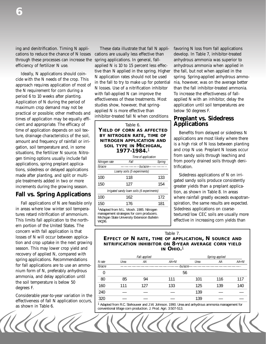ing and denitrification. Timing N appli-<br>These data illustrate that fall N appli-<br>favoring N loss from fall applications cations to reduce the chance of N losses cations are usually less effective than develop. In Table 7, inhibitor-treated through these processes can increase the spring applications. In general, fall- anhydrous ammonia was superior to efficiency of fertilizer N use. applied N is 10 to 15 percent less effec- anhydrous ammonia when applied in

cient and appropriate. The efficacy of  $\blacksquare$   $\blacksquare$   $\blacksquare$   $\blacksquare$   $\blacksquare$   $\blacksquare$   $\blacksquare$   $\blacksquare$   $\blacksquare$   $\blacksquare$   $\blacksquare$   $\blacksquare$   $\blacksquare$   $\blacksquare$   $\blacksquare$   $\blacksquare$   $\blacksquare$   $\blacksquare$   $\blacksquare$   $\blacksquare$   $\blacksquare$   $\blacksquare$   $\blacksquare$   $\blacksquare$   $\blacksquare$   $\blacksquare$  time of application depends on soil texthe of application depends on solition solition of the solition solitance characteristics of the solition soliton and in some solution soliton soliton soliton soliton soliton soliton soliton soliton soliton soliton soliton situations, the fertilizer N source. Nitrogen timing options usually include fall  $\frac{Time of application}{Mitrogen rate}$   $\frac{Time of application}{fouro.}$  from sandy soils through leaching and applications, spring preplant applications<br>tions, sidedress or delayed applications<br>made after planting, and split or multi-<br> $\frac{L\text{p} \times \text{p} \times \text{p} \times \text{p} \times \text{p} \times \text{p}}{1200}$  and split or multi-<br>and solid applications made after planting, and split or multi-<br>ple treatments added in two or more ple treatments added in two or more  $\frac{150}{150}$  127 154 gated sandy soils produce consistently increments during the growing season.

Fall applications of  $N$  are feasible only in areas where low winter soil tempera  $\frac{1}{1}$   $\frac{1}{1}$   $\frac{1}{2}$   $\frac{1}{1}$   $\frac{1}{2}$   $\frac{1}{2}$   $\frac{1}{2}$   $\frac{1}{2}$   $\frac{1}{2}$   $\frac{1}{2}$   $\frac{1}{2}$   $\frac{1}{2}$   $\frac{1}{2}$   $\frac{1}{2}$   $\frac{1}{2}$   $\frac{1}{2}$   $\frac{1}{2}$   $\frac{1}{2}$   $\frac$ tures retard nitrification of ammonium.<br>This limits fall application to the north-<br>WOO6. Wichigan State University Extension Bulletin<br>effective in increasing corn yields than ern portion of the United States. The concern with fall application is that losses of N will occur between application and crop uptake in the next growing season. This may lower crop yield and recovery of applied N, compared with spring applications. Recommendations for fall applications are to use an ammonium form of N, preferably anhydrous ammonia, and delay application until the soil temperature is below 50 degrees F.

Considerable year-to-year variation in the effectiveness of fall N application occurs, as shown in Table 6.

Ideally, N applications should coincide with the N needs of the crop. This into a pplication rates should not be used spring. Spring-applied anhydrous ammo-<br>approach requires application of most of in the fall to try to ma

|                                          |               |                                                       |        | from sandy soils through leaching    |
|------------------------------------------|---------------|-------------------------------------------------------|--------|--------------------------------------|
| gen timing options usually include fall  |               | Time of application                                   |        |                                      |
| applications, spring preplant applica-   | Nitrogen rate | Fall                                                  | Spring | from poorly drained soils through    |
|                                          | Ib/acre       | -bu/acre-                                             |        | trification.                         |
| tions, sidedress or delayed applications |               | Loamy soils (5 experiments)                           |        |                                      |
| made after planting, and split or multi- | 100           | 118                                                   | 133    | Sidedress applications of N on is    |
| ple treatments added in two or more      |               |                                                       |        | gated sandy soils produce consiste.  |
| increments during the growing season.    | 150           | 127                                                   | 154    | greater yields than a preplant appli |
|                                          |               | Irrigated sandy loam soils (6 experiments)            |        | tion, as shown in Table 8. In areas  |
| <b>Fall vs. Spring Applications</b>      | 100           | 162                                                   | 172    | where rainfall greatly exceeds evap  |
| Fall applications of N are feasible only | 150           | 176                                                   | 181    | spiration, the same results are expe |
| in areas where low winter soil tempera-  |               | <sup>1</sup> Adapted from M.L. Vitosh. 1985. Nitrogen |        | Sidedress applications on coarse-    |
| tures retard nitrification of ammonium.  |               | management strategies for corn producers.             |        | textured/low CEC soils are usually   |

gation, soil temperature and, in some **SOIL TYPE IN IVIICHIGAN,** and crop N use. Preplant N losses occur structure, the fertilizer N source, Nitre **1977-1984**.<sup>1</sup>

greater yields than a preplant applica where rainfall greatly exceeds evapotranspiration, the same results are expected.

Table 7.

**EFFECT OF N RATE, TIME OF APPLICATION, N SOURCE AND NITRIFICATION INHIBITOR ON 8-YEAR AVERAGE CORN YIELD IN OHIO.**<sup>1</sup>

|         |      | Fall-applied |          | Spring-applied |     |         |
|---------|------|--------------|----------|----------------|-----|---------|
| N rate  | Urea | ΑA           | $AA+NI$  | Urea           | АA  | $AA+NI$ |
| Ib/acre |      |              | bu/acre- |                |     |         |
| 0       |      |              | 56       |                |     |         |
| 80      | 85   | 94           | 111      | 101            | 116 | 117     |
| 160     | 111  | 127          | 133      | 125            | 139 | 140     |
| 240     |      |              |          | 139            |     |         |
| 320     |      |              |          | 139            |     |         |

<sup>1</sup> Adapted from R.C. Stehouwer and J.W. Johnson. 1990. Urea and anhydrous ammonia management for conventional tillage corn production. J. Prod. Agri. 3:507-513.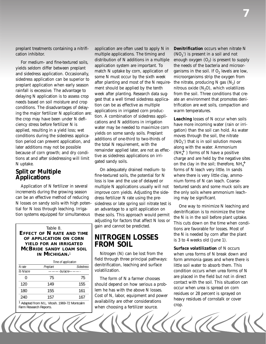preplant treatments containing a nitrifi- application are often used to apply N in cation inhibitor. multiple applications. The timing and

For medium- and fine-textured soils,<br>
yields seldom differ between preplant<br>
signication of N additions in a multiple<br>
yields seldom differ between preplant<br>
application system are important. To<br>
same N must occur by the

increments during the growing season improve corn yields. Adjusting the sidecan be an effective method of reducing dress fertilizer N rate using the pretial for N loss through leaching. Irriga- an advantage to a split application on tion systems equipped for simultaneous these soils. This approach would permit

Table 8. **EFFECT OF N RATE AND TIME OF APPLICATION ON CORN YIELD FOR AN IRRIGATED MCBRIDE SANDY LOAM SOIL IN MICHIGAN.**<sup>1</sup>

|           | Time of application |                  |
|-----------|---------------------|------------------|
| N rate    | Preplant            | <b>Sidedress</b> |
| Ib N/acre | -bu/acre-           |                  |
| 0         | 75                  | 75               |
| 120       | 149                 | 155              |
| 180       | 155                 | 161              |
| 240       | 157                 | 167              |

1 Adapted from M.L. Vitosh. 1969-72 Montcalm Farm Research Reports.

**Split or Multiple** On adequately drained medium- to **Applications Conserversity** on a the textured soils, the potential for N fine-textured soils, the potential for N loss is low and the use of delayed or Application of N fertilizer in several multiple N applications usually will not N losses on sandy soils with high poten-sidedress or late spring soil nitrate test is adjusting for factors that affect N loss or gain and cannot be predicted.

## **NITROGEN LOSSES FROM SOIL**

Nitrogen (N) can be lost from the field through three principal pathways: denitrification, leaching and surface volatilization.

The form of N a farmer chooses should depend on how serious a problem he has with the above N losses. Cost of N, labor, equipment and power availability are other considerations when choosing a fertilizer source.

*Denitrification* occurs when nitrate N  $\rm (NO_3^-)$  is present in a soil and not enough oxygen  $(O<sub>2</sub>)$  is present to supply the needs of the bacteria and microorganisms in the soil. If  $O<sub>2</sub>$  levels are low, microorganisms strip the oxygen from the nitrate, producing N gas  $(N_2)$  or nitrous oxide  $(N_2O)$ , which volatilizes from the soil. Three conditions that create an environment that promotes denitrification are wet soils, compaction and warm temperatures.

*Leaching* losses of N occur when soils have more incoming water (rain or irrigation) than the soil can hold. As water moves through the soil, the nitrate  $(NO<sub>3</sub><sup>-</sup>)$  that is in soil solution moves along with the water. Ammonium  $\widetilde{\mathrm{(NH_4^+)}}$  ) forms of N have a positive charge and are held by the negative sites on the clay in the soil; therefore,  $NH_4^+$ forms of N leach very little. In sands where there is very little clay, ammonium forms of N can leach. Coarsetextured sands and some muck soils are the only soils where ammonium leaching may be significant.

One way to minimize N leaching and denitrification is to minimize the time the N is in the soil before plant uptake. This cuts down on the time when conditions are favorable for losses. Most of the N is needed by corn after the plant is 3 to 4 weeks old (June 1).

*Surface volatilization* of N occurs when urea forms of N break down and form ammonia gases and where there is little soil water to absorb them. This condition occurs when urea forms of N are placed in the field but not in direct contact with the soil. This situation can occur when urea is spread on corn residues or 28 percent is sprayed on heavy residues of cornstalk or cover crop.

 $\gamma$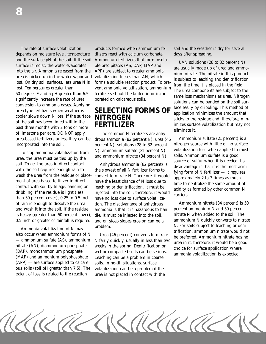depends on moisture level, temperature tilizers react with calcium carbonate. days after spreading. and the surface pH of the soil. If the soil Ammonium fertilizers that form insolu-<br>surface is moist, the water evaporates ble precipitates (AS, DAP, MAP and<br>into the air. Ammonia released from the APP) are subject to great conversion to ammonia gases. Applying<br>urea-type fertilizers when weather is<br>cooler slows down N loss. If the surface<br>**NITROGEN** cooler slows down N loss. If the surface **NITROGEN** of the soil has been limed within the past three months with 2 tons or more<br>of limestone per acre, DO NOT apply The common N fertilizers are anhy-

To stop ammonia volatilization from  $\mu$  and ammonium sulfate (21 percent N) volatilization loss when applied to most and ammonium intrate (34 percent N). Soils. Ammonium sulfate is a good source of sulfur when it is need of rain is enough to dissolve the urea tion. The disadvantage of anhydrous Ammonium nitrate (34 percent) is 50 and wash it into the soil. If the residue ammonia is that it is hazardous to han-<br>is heavy (greater than 50 percent cover). dle It must be injected into the soil intrate N when added to the soil. The 0.5 inch or greater of rainfall is required. and on steep slopes erosion can be a

Ammonia volatilization of N may<br>also occur when ammonium forms of N<br>— ammonium sulfate (AS), ammonium M and M and M and M and M and M and M and M and M and M and M and M and M and M and M and M and M and M and M and M and  $(APP)$  — are surface applied to calcare-soils. In no-till situations, surface ous soils (soil pH greater than 7.5). The volatilization can be a problem if the

The rate of surface volatilization products formed when ammonium fer-<br>soil and the weather is dry for several

urea-based fertilizers unless they can be drous ammonia (82 percent N), urea (46 Ammonium sulfate (21 percent) is a<br>incorporated into the soil. exercent N) solutions (28 to 32 percent introgen source with little or no surf incorporated into the soil. percent N), solutions (28 to 32 percent nitrogen source with little or no surface<br>N) ammonium sulfate (21 percent N) volatilization loss when applied to most

extent of loss is related to the reaction urea is not placed in contact with the

is heavy (greater than 50 percent cover), dle. It must be injected into the soil, nitrate N when added to the soil. The 0.5 inch or greater of rainfall is required, and on steep slopes erosion can be a ammonium N quickly c

KIRALAKAKIRAK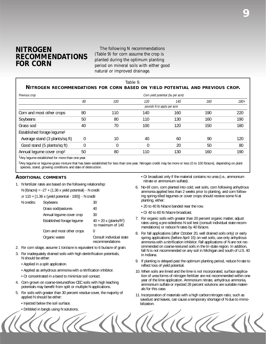# **NITROGEN** The following N recommendations<br> **DECOMMENIDATIONIC** (Table 9) for corn assume the crop is

**RECOMMENDATIONS** (Table 9) for corn assume the crop is planted during the optimum planting period on mineral soils with either good natural or improved drainage.

#### Table 9. **NITROGEN RECOMMENDATIONS FOR CORN BASED ON YIELD POTENTIAL AND PREVIOUS CROP.**

| Previous crop                          |          |     |     | Corn yield potential (bu per acre) |     |        |
|----------------------------------------|----------|-----|-----|------------------------------------|-----|--------|
|                                        | 80       | 100 | 120 | 140                                | 160 | $180+$ |
|                                        |          |     |     | pounds N to apply per acre         |     |        |
| Corn and most other crops              | 80       | 110 | 140 | 160                                | 190 | 220    |
| Soybeans                               | 50       | 80  | 110 | 130                                | 160 | 190    |
| Grass sod                              | 40       | 70  | 100 | 120                                | 150 | 180    |
| Established forage legume <sup>1</sup> |          |     |     |                                    |     |        |
| Average stand (3 plants/sq ft)         | $\Omega$ | 10  | 40  | 60                                 | 90  | 120    |
| Good stand (5 plants/sq ft)            | $\theta$ | 0   | 0   | 20                                 | 50  | 80     |
| Annual legume cover crop <sup>2</sup>  | 50       | 80  | 110 | 130                                | 160 | 190    |
|                                        |          |     |     |                                    |     |        |

<sup>1</sup> Any legume established for more than one year.

<sup>2</sup>Any legume or legume-grass mixture that has been established for less than one year. Nitrogen credit may be more or less (0 to 100 lb/acre), depending on plant species, stand, growing conditions and date of destruction.

#### **ADDITIONAL COMMENTS**

1. N fertilizer rates are based on the following relationship:

N (lb/acre) =  $-27 + (1.36 \times$  yield potential) - N credit

| or 110 + [1.36 x (yield potential - 100)] - N credit |  |  |  |
|------------------------------------------------------|--|--|--|
|------------------------------------------------------|--|--|--|

| N credits: | Soybeans                  | 30                                                        |
|------------|---------------------------|-----------------------------------------------------------|
|            | Grass sod/pastures        | 40                                                        |
|            | Annual legume cover crop  | 30                                                        |
|            | Established forage legume | $40 + 20x$ (plants/ft <sup>2</sup> )<br>to maximum of 140 |
|            | Corn and most other crops | 0                                                         |
|            | Organic waste             | Consult individual state<br>recommendations               |

- 2. For corn silage, assume 1 ton/acre is equivalent to 6 bu/acre of grain.
- 3. For inadequately drained soils with high denitrification potentials, N should be either:
	- Applied in a split application.
	- Applied as anhydrous ammonia with a nitrification inhibitor.
	- Or concentrated in a band to minimize soil contact.
- 4. Corn grown on coarse-textured/low CEC soils with high leaching potentials may benefit from split or multiple N applications.
- 5. For soils with greater than 30 percent residue cover, the majority of applied N should be either:
	- Injected below the soil surface.
	- Dribbled in bands using N solutions.

• Or broadcast only if the material contains no urea (i.e., ammonium nitrate or ammonium sulfate).

- 6. No-till corn, corn planted into cold, wet soils, corn following anhydrous ammonia applied less than 2 weeks prior to planting, and corn following spring-tilled legumes or cover crops should receive some N at planting, either:
	- 20 to 40 lb N/acre banded near the row.
	- Or 40 to 60 lb N/acre broadcast.
- 7. For organic soils with greater than 20 percent organic matter, adjust rates using a pre-sidedress N soil test (consult individual state recommendations) or reduce N rates by 40 lb/acre.
- 8. For fall applications (after October 20, well drained soils only) or early spring applications (before April 15) on wet soils, use only anhydrous ammonia with a nitrification inhibitor. Fall applications of N are not recommended on coarse-textured soils in the tri-state region. In addition, fall N is not recommended on any soil in Michigan and south of U.S. 40 in Indiana.
- 9. If planting is delayed past the optimum planting period, reduce N rate to reflect loss of yield potential.
- 10. When soils are limed and the lime is not incorporated, surface application of urea forms of nitrogen fertilizer are not recommended within one year of the lime application. Ammonium nitrate, anhydrous ammonia, ammonium sulfate or injected 28 percent solutions are suitable materials for this case.
- 11. Incorporation of materials with a high carbon:nitrogen ratio, such as sawdust and leaves, can cause a temporary shortage of N due to immobilization.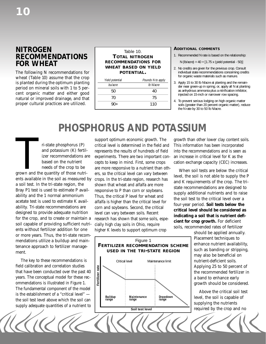## **NITROGEN RECOMMENDATIONS FOR WHEAT**

The following N recommendations for wheat (Table 10) assume that the crop is planted during the optimum planting period on mineral soils with 1 to 5 percent organic matter and either good natural or improved drainage, and that proper cultural practices are utilized.

#### Table 10. **TOTAL NITROGEN RECOMMENDATIONS FOR WHEAT BASED ON YIELD POTENTIAL.**

| Yield potential | Pounds N to apply |
|-----------------|-------------------|
| bu/acre         | Ib N/acre         |
| 50              | 40                |
| 70              | 75                |
| 90+             | 110               |

#### **ADDITIONAL COMMENTS**

- 1. Recommended N rate is based on the relationship:
	- N (lb/acre) = 40 + [1.75 x (yield potential 50)]
- 2. No credits are given for the previous crop. Consult individual state recommendations concerning credits for organic waste materials such as manure.
- 3. Apply 15 to 30 lb N/acre at planting and the remainder near green-up in spring; or, apply all N at planting as anhydrous ammonia plus a nitrification inhibitor, injected on 15-inch or narrower row spacing.
- 4. To prevent serious lodging on high organic matter soils (greater than 20 percent organic matter), reduce the N rate by 30 to 50 lb N/acre.

# *PHOSPHORUS AND POTASSIUM*

ri-state phosphorus (P)<br>and potassium (K) fertil<br>izer recommendations a<br>based on the nutrient<br>needs of the crop to be<br>grown and the quantity of those nutri and potassium (K) fertilizer recommendations are based on the nutrient needs of the crop to be grown and the quantity of those nutrients available in the soil as measured by a soil test. In the tri-state region, the Bray P1 test is used to estimate P availability and the 1 normal ammonium acetate test is used to estimate K availability. Tri-state recommendations are designed to provide adequate nutrition for the crop, and to create or maintain a soil capable of providing sufficient nutrients without fertilizer addition for one or more years. Thus, the tri-state recommendations utilize a buildup and maintenance approach to fertilizer management.

The key to these recommendations is field calibration and correlation studies that have been conducted over the past 40 years. The conceptual model for these recommendations is illustrated in Figure 1. The fundamental component of the model is the establishment of a "critical level" the soil test level above which the soil can supply adequate quantities of a nutrient to

support optimum economic growth. The critical level is determined in the field and represents the results of hundreds of field experiments. There are two important concepts to keep in mind. First, some crops are more responsive to a nutrient than others, so the critical level can vary between crops. In the tri-state region, research has shown that wheat and alfalfa are more responsive to P than corn or soybeans. Thus, the critical P level for wheat and alfalfa is higher than the critical level for corn and soybeans. Second, the critical level can vary between soils. Recent research has shown that some soils, especially high clay soils in Ohio, require higher K levels to support optimum crop



Figure 1

growth than other lower clay content soils. This information has been incorporated into the recommendations and is seen as an increase in critical level for K as the cation exchange capacity (CEC) increases.

When soil tests are below the critical level, the soil is not able to supply the P and K requirements of the crop. The tristate recommendations are designed to supply additional nutrients and to raise the soil test to the critical level over a four-year period. **Soil tests below the critical level should be considered as indicating a soil that is nutrient deficient for crop growth.** For deficient soils, recommended rates of fertilizer

should be applied annually. Placement techniques to may also be beneficial on nutrient-deficient soils. Applying 25 to 50 percent of the recommended fertilizer in a band to enhance early growth should be considered.

Above the critical soil test supplying the nutrients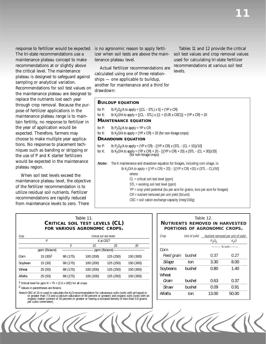response to fertilizer would be expected. The tri-state recommendations use a maintenance plateau concept to make recommendations at or slightly above the critical level. The maintenance plateau is designed to safeguard against sampling or analytical variation. Recommendations for soil test values on the maintenance plateau are designed to replace the nutrients lost each year through crop removal. Because the purpose of fertilizer applications in the maintenance plateau range is to maintain fertility, no response to fertilizer in the year of application would be expected. Therefore, farmers may choose to make multiple year applications. No response to placement techniques such as banding or stripping or the use of P and K starter fertilizers would be expected in the maintenance plateau region.

When soil test levels exceed the maintenance plateau level, the objective of the fertilizer recommendation is to utilize residual soil nutrients. Fertilizer recommendations are rapidly reduced from maintenance levels to zero. There

is no agronomic reason to apply fertilizer when soil tests are above the maintenance plateau level.

Actual fertilizer recommendations are calculated using one of three relationships — one applicable to buildup, another for maintenance and a third for drawdown:

Tables 11 and 12 provide the critical soil test values and crop removal values used for calculating tri-state fertilizer recommendations at various soil test levels.

#### **BUILDUP EQUATION**

```
for P: lb P_2O_5/A to apply = [(CL - STL) x 5] + (YP x CR)<br>for K: lb K<sub>2</sub>O/A to apply = [(CL - STL) x ((1 + (0.05 x CE
for K: lb K<sub>2</sub>O/A to apply = [(CL - STL) x ((1 + (0.05 x CEC))] + (YP x CR) + 20
MAINTENANCE EQUATION
```
for P: lb  $P_2O_5/A$  to apply = YP x CR for K: lb K<sub>2</sub>O/A to apply = (YP x CR) + 20 (for non-forage crops) **DRAWDOWN EQUATION**  for P: lb P<sub>2</sub>O<sub>5</sub>/A to apply = (YP x CR) - [(YP x CR) x (STL - (CL + 15))/10]<br>for K: lb K<sub>2</sub>O/A to apply = (YP x CR) + 20 - [((YP x CR) + 20) x (STL - (CL

```
lb K<sub>2</sub>O/A to apply = (YP x CR) + 20 - [((YP x CR) + 20) x (STL - (CL + 30))/20] (for non-forage crops)
```
**Note:** The K maintenance and drawdown equation for forages, including corn silage, is: lb K<sub>2</sub>O/A to apply =  $[(YP \times CR) + 20] - [((YP \times CR) + 20) \times (STL - CL)/50]$ where:

CL = critical soil test level (ppm)

STL = existing soil test level (ppm)

YP = crop yield potential (bu per acre for grains, tons per acre for forages)

ULA A

CR = nutrient removed per unit yield (lb/unit)

CEC = soil cation exchange capacity (meq/100g)

| Crop    | Critical soil test levels |          |           |                       |           | Crop       | Unit of vield | Nutrient removed per unit of yield |                                |
|---------|---------------------------|----------|-----------|-----------------------|-----------|------------|---------------|------------------------------------|--------------------------------|
|         |                           |          |           | K at CEC <sup>1</sup> |           |            |               | $P_2O_5$                           | $K_2O$                         |
|         |                           |          | 10        | 20                    | 30        |            |               |                                    | $\frac{1}{1}$ - lb /unit - - - |
|         | ppm (lb/acre)             |          |           | ppm (lb/acre)—        |           | Corn       |               |                                    |                                |
| Corn    | $15(30)^2$                | 88 (175) | 100 (200) | 125 (250)             | 150 (300) | Feed grain | bushel        | 0.37                               | 0.27                           |
| Soybean | 15(30)                    | 88 (175) | 100 (200) | 125 (250)             | 150 (300) | Silage     | ton           | 3.30                               | 8.00                           |
| Wheat   | 25(50)                    | 88 (175) | 100 (200) | 125 (250)             | 150 (300) | Soybeans   | bushel        | 0.80                               | 1.40                           |
| Alfalfa | 25(50)                    | 88 (175) | 100 (200) | 125 (250)             | 150 (300) | Wheat      |               |                                    |                                |
|         |                           |          |           |                       |           |            |               |                                    |                                |

<sup>1</sup> Critical level for ppm K =  $75 + (2.5 \times$  CEC) for all crops

2 Values in parentheses are lb/acre.

Note:A CEC of 15 is used to calculate the K<sub>2</sub>O recommendation for calcareous soils (soils with pH equal to or greater than 7.5 and a calcium saturation of 80 percent or greater) and organic soils (soils with an organic matter content of 20 percent or greater or having a scooped density of less than 0.8 grams per cubic centimeter).

#### Table 11. CRITICAL SOIL TEST LEVELS (CL) | | NUTRIENTS REMOVED IN HARVESTED **FOR VARIOUS AGRONOMIC CROPS. PORTIONS OF AGRONOMIC CROPS.**

| Crop       | Unit of yield |          | Nutrient removed per unit of yield |
|------------|---------------|----------|------------------------------------|
|            |               | $P_2O_5$ | $K_2O$                             |
| Corn       |               |          | – Ib /unit-                        |
| Feed grain | bushel        | 0.37     | 0.27                               |
| Silage     | ton           | 3.30     | 8.00                               |
| Soybeans   | bushel        | 0.80     | 1.40                               |
| Wheat      |               |          |                                    |
| Grain      | bushel        | 0.63     | 0.37                               |
| Straw      | bushel        | 0.09     | 0.91                               |
| Alfalfa    | ton           | 13.00    | 50.00                              |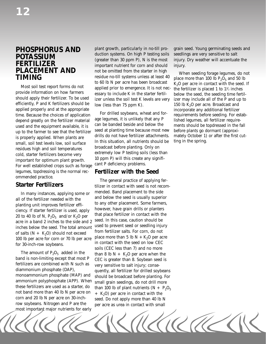provide information on how farmers essary to include K in the starter fertil-<br>should apply their fertilizer. To be used<br>efficiently, P and K fertilizers should be low (less than 75 npm K) and K fertilizers and the P and up efficiently, P and K fertilizers should be  $_{\text{low}}$  (less than 75 ppm K). 150 lb K<sub>2</sub>O per acre. Broadcast and applied properly and at the appropriate incorporate any additional fertilizer applied properly and at the appropriate<br>time. Because the choices of application and for-<br>depend greatly on the fertilizer material age legumes, it is unlikely that any P dished legumes, all fertilizer requireused and the equipment available, it is can be banded beside and below the ments should be topdressed in the fall<br>un to the farmer to see that the fertilizer seed at planting time because most new before plants go dormant up to the farmer to see that the fertilizer seed at planting time because most new before plants go dormant (approxi-<br>is properly applied. When plants are drills do not have fertilizer attachments. mately October 1) or aft small, soil test levels low, soil surface<br>residues high and soil temperatures<br>cold, starter fertilizers become very<br>important for optimum plant growth.<br>For well established crops such as forage cant P deficiency problems. legumes, topdressing is the normal rec-<br> **Fertilizer with the Seed**<br>
ommended practice.

planting unit improves fertilizer efficially to any other placement. Some farmers,<br>ciency. If starter fertilizer is used, apply<br>20 to 40 lb of N,  $P_2O_5$  and/or  $K_2O$  per that place fertilizer in contact with the<br>acre i inches below the seed. The total amount used to prevent seed or seedling injury of salts  $(N + K)$  should not exceed. from fertilizer salts. For corn, do not

The amount of  $P_2O_5$  added in the than 8 lb N + K<sub>2</sub>O per acre when the band is non-limiting except that most P c<sub>FC</sub> is greater than 8. Sovbean seed is band is non-limiting except that most  $P$  CEC is greater than 8. Soybean seed is fertilizers are combined with N such as very sensitive to selt injury; consefertilizers are combined with  $N$  such as very sensitive to salt injury; conse-<br>diammonium phosphate (DAP),  $q$  and  $r$  all fertilizer for drilled soverally ammonium polyphosphate (APP). When small grain seedings, do not drill more these fertilizers are used as a starter, do than 100 lb of plant putrients  $(N + R)$ not band more than 40 lb N per acre on  $+ K_2O$  per acre in contact with the corn and 20 lb N per acre on 30-inchcorn and 20 lb N per acre on 30-inch-<br>
row soybeans. Nitrogen and P are the series as urea in contact with small most important major nutrients for early

**POTASSIUM** duction systems. On high P testing soils seedlings are very sensitive to salt (greater than 30 ppm P), N is the most injury. Dry weather will accentuate the important nutrient for corn and should injury. **FERTILIZER** (greater than 30 ppm P), N is the most injury. Dry weather will accentuate the important nutrient for corn and should injury. **PLACEMENT AND** important nutrient for corn and should injury.<br> **PLACEMENT AND** not be omitted from the starter in high When seeding forage legumes, do not residue no-till systems unless at least 40 place more than 100 lb to 60 lb N per acre has been broadcast  $K_2O$  per acre in contact with the seed. If<br>Most soil test report forms do not 20 per acre in the seed. If is not pec. the fertilizer is pleaded 1 to 11/ inches applied prior to emergence. It is not nec-<br>essary to include K in the starter fertil-

**SHATTER PRESETS:**<br>
The general practice of applying fer-<br> **Starter Fertilizers** tilizer in contact with seed is not recon tilizer in contact with seed is not recom-In many instances, applying some or and below the seed is usually superior all of the fertilizer needed with the seed is usually superior to any other placement. Some farmers, of salts  $(N + K_2O)$  should not exceed<br>100 lb per acre for corn or 70 lb per acre<br>100 lb per acre for corn or 70 lb per acre<br>100 lb per acre for corn or 70 lb per acre<br>100 lb per acre for soils (DEC heat with the seed on lo diammonium phosphate (DAP), quently, all fertilizer for drilled soybeans<br>monoammonium phosphate (MAP) and should be broadcast before planting For monoammonium phosphate (MAP) and should be broadcast before planting. For<br>ammonium polyphosphate (APP). When small grain seedings do not drill more these fertilizers are used as a starter, do than 100 lb of plant nutrients  $(N + P_2O_5)$  not band more than 40 lb N per acre on  $+ K_2O$  per acre in contact with the per acre as urea in contact with small

**PHOSPHORUS AND** plant growth, particularly in no-till prograin seed. Young germinating seeds and duction systems. On high P testing soils seedlings are very sensitive to salt

the fertilizer is placed 1 to  $1\frac{1}{2}$  inches

KIA TU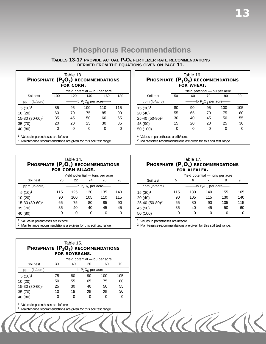## **Phosphorus Recommendations**

| TABLES 13-17 PROVIDE ACTUAL $P_2O_5$ FERTILIZER RATE RECOMMENDATIONS |  |
|----------------------------------------------------------------------|--|
| DERIVED FROM THE EQUATIONS GIVEN ON PAGE 11.                         |  |

| Table 13.<br><b>PHOSPHATE <math>(P_2O_5)</math> RECOMMENDATIONS</b><br><b>FOR CORN.</b> |                                               |     |     |                               |     |  |  |  |  |  |
|-----------------------------------------------------------------------------------------|-----------------------------------------------|-----|-----|-------------------------------|-----|--|--|--|--|--|
|                                                                                         |                                               |     |     | Yield potential — bu per acre |     |  |  |  |  |  |
| Soil test                                                                               | 100                                           | 120 | 140 | 160                           | 180 |  |  |  |  |  |
| ppm (lb/acre)                                                                           | -lb Ρ <sub>2</sub> Ο <sub>5</sub> per acre——- |     |     |                               |     |  |  |  |  |  |
| $5(10)^1$                                                                               | 85                                            | 95  | 100 | 110                           | 115 |  |  |  |  |  |
| 10 (20)                                                                                 | 60                                            | 70  | 75  | 85                            | 90  |  |  |  |  |  |
| 15-30 (30-60) <sup>2</sup>                                                              | 35                                            | 45  | 50  | 60                            | 65  |  |  |  |  |  |
| 35(70)                                                                                  | 20                                            | 20  | 25  | 30                            | 35  |  |  |  |  |  |
| 40 (80)                                                                                 |                                               |     |     |                               |     |  |  |  |  |  |
| Values in parentheses are Ib/acre.                                                      |                                               |     |     |                               |     |  |  |  |  |  |

2 Maintenance recommendations are given for this soil test range.

| Table 14.<br>PHOSPHATE $(P_2O_5)$ recommendations<br><b>FOR CORN SILAGE.</b> |                                                                                                       |     |                                               |     |     |  |  |  |  |  |
|------------------------------------------------------------------------------|-------------------------------------------------------------------------------------------------------|-----|-----------------------------------------------|-----|-----|--|--|--|--|--|
|                                                                              |                                                                                                       |     | Yield potential — tons per acre               |     |     |  |  |  |  |  |
| Soil test                                                                    | 20                                                                                                    | 22  | 24                                            | 26  | 28  |  |  |  |  |  |
| ppm (lb/acre)                                                                |                                                                                                       |     | -lb P <sub>2</sub> O <sub>5</sub> per acre--- |     |     |  |  |  |  |  |
| $5(10)^1$                                                                    | 115                                                                                                   | 125 | 130                                           | 135 | 140 |  |  |  |  |  |
| 10(20)                                                                       | 90                                                                                                    | 100 | 105                                           | 110 | 115 |  |  |  |  |  |
| 15-30 (30-60) <sup>2</sup>                                                   | 65                                                                                                    | 75  | 80                                            | 85  | 90  |  |  |  |  |  |
| 35 (70)                                                                      | 35                                                                                                    | 40  | 40                                            | 45  | 45  |  |  |  |  |  |
| 40 (80)                                                                      | $\left( \right)$                                                                                      |     |                                               |     | Ω   |  |  |  |  |  |
| 2                                                                            | Values in parentheses are Ib/acre.<br>Maintenance recommendations are given for this soil test range. |     |                                               |     |     |  |  |  |  |  |

| Table 15.<br><b>PHOSPHATE <math>(P_2O_5)</math> RECOMMENDATIONS</b><br><b>FOR SOYBEANS.</b> |    |    |                                               |                               |     |  |  |  |  |  |
|---------------------------------------------------------------------------------------------|----|----|-----------------------------------------------|-------------------------------|-----|--|--|--|--|--|
|                                                                                             |    |    |                                               | Yield potential — bu per acre |     |  |  |  |  |  |
| Soil test                                                                                   | 30 | 40 | 50                                            | 60                            | 70  |  |  |  |  |  |
| ppm (lb/acre)                                                                               |    |    | -lb P <sub>2</sub> O <sub>5</sub> per acre--- |                               |     |  |  |  |  |  |
| $5(10)^1$                                                                                   | 75 | 80 | 90                                            | 100                           | 105 |  |  |  |  |  |
| 10(20)                                                                                      | 50 | 55 | 65                                            | 75                            | 80  |  |  |  |  |  |
| 15-30 (30-60) <sup>2</sup>                                                                  | 25 | 30 | 40                                            | 50                            | 55  |  |  |  |  |  |
| 35 (70)                                                                                     | 10 | 15 | 25                                            | 25                            | 30  |  |  |  |  |  |
| 40 (80)                                                                                     |    |    |                                               |                               |     |  |  |  |  |  |

- 1 Values in parentheses are lb/acre.
- 2 Maintenance recommendations are given for this soil test range.

| Table 16.<br><b>PHOSPHATE <math>(P_2O_5)</math> RECOMMENDATIONS</b><br><b>FOR WHEAT.</b> |    |    |                               |     |     |  |  |  |  |  |
|------------------------------------------------------------------------------------------|----|----|-------------------------------|-----|-----|--|--|--|--|--|
|                                                                                          |    |    | Yield potential — bu per acre |     |     |  |  |  |  |  |
| Soil test                                                                                | 50 | 60 | 70                            | 80  | 90  |  |  |  |  |  |
| ppm (lb/acre)                                                                            |    |    | -lb $P_2O_5$ per acre---      |     |     |  |  |  |  |  |
| $15(30)^1$                                                                               | 80 | 90 | 95                            | 100 | 105 |  |  |  |  |  |
| 20(40)                                                                                   | 55 | 65 | 70                            | 75  | 80  |  |  |  |  |  |
| 25-40 (50-80) <sup>2</sup>                                                               | 30 | 40 | 45                            | 50  | 55  |  |  |  |  |  |
| 45 (90)                                                                                  | 15 | 20 | 20                            | 25  | 30  |  |  |  |  |  |
| Ω<br>50 (100)                                                                            |    |    |                               |     |     |  |  |  |  |  |

1 Values in parentheses are lb/acre.

2 Maintenance recommendations are given for this soil test range.

### Table 17. PHOSPHATE (P<sub>2</sub>O<sub>5</sub>) RECOMMENDATIONS **FOR ALFALFA.**  Yield potential - tons per acre

| Soil test                  | 5                                                |     |     |     |     |  |  |  |  |  |
|----------------------------|--------------------------------------------------|-----|-----|-----|-----|--|--|--|--|--|
| ppm (lb/acre)              | $-$ lb P <sub>2</sub> O <sub>5</sub> per acre——- |     |     |     |     |  |  |  |  |  |
| $15(30)^1$                 | 115                                              | 130 | 140 | 155 | 165 |  |  |  |  |  |
| 20(40)                     | 90                                               | 105 | 115 | 130 | 140 |  |  |  |  |  |
| 25-40 (50-80) <sup>2</sup> | 65                                               | 80  | 90  | 105 | 115 |  |  |  |  |  |
| 45 (90)                    | 35                                               | 40  | 45  | 50  | 60  |  |  |  |  |  |
| 50 (100)                   | Ω                                                | ∩   |     |     |     |  |  |  |  |  |

1 Values in parentheses are lb/acre.

2 Maintenance recommendations are given for this soil test range.

TAKICRECK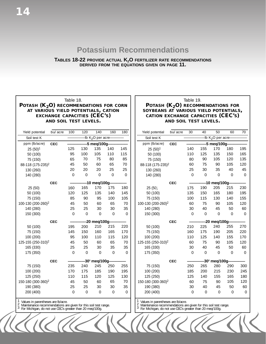## **Potassium Recommendations**

**TABLES 18-22 PROVIDE ACTUAL K2O FERTILIZER RATE RECOMMENDATIONS DERIVED FROM THE EQUATIONS GIVEN ON PAGE 11.** 

#### Table 18. POTASH (K<sub>2</sub>O) RECOMMENDATIONS FOR CORN **AT VARIOUS YIELD POTENTIALS, CATION EXCHANGE CAPACITIES (CEC'S) AND SOIL TEST LEVELS.**

#### Table 19. **POTASH (K<sub>2</sub>O) RECOMMENDATIONS FOR SOYBEANS AT VARIOUS YIELD POTENTIALS, CATION EXCHANGE CAPACITIES (CEC'S) AND SOIL TEST LEVELS.**

| Yield potential                                                                                                                                                             | bu/ acre   | 100            | 120            | 140                            | 160         | 180      | Yield potential                                                                                                                                                             | bu/ acre   | 30             | 40          | 50                            | 60             | 70             |
|-----------------------------------------------------------------------------------------------------------------------------------------------------------------------------|------------|----------------|----------------|--------------------------------|-------------|----------|-----------------------------------------------------------------------------------------------------------------------------------------------------------------------------|------------|----------------|-------------|-------------------------------|----------------|----------------|
| Soil test K                                                                                                                                                                 |            |                |                | -lb K <sub>2</sub> O per acre- |             |          | Soil test K                                                                                                                                                                 |            |                |             | lb K <sub>2</sub> O per acre- |                |                |
| ppm (lb/acre)                                                                                                                                                               | <b>CEC</b> |                |                | -5 meg/100g-                   |             |          | ppm (lb/acre)                                                                                                                                                               | <b>CEC</b> |                |             | -5 meg/100g-                  |                |                |
| $25(50)^1$                                                                                                                                                                  |            | 125            | 130            | 135                            | 140         | 145      | $25(50)^1$                                                                                                                                                                  |            | 140            | 155         | 170                           | 180            | 195            |
| 50 (100)                                                                                                                                                                    |            | 95             | 100            | 105                            | 110         | 115      | 50 (100)                                                                                                                                                                    |            | 110            | 125         | 135                           | 150            | 165            |
| 75 (150)                                                                                                                                                                    |            | 65             | 70             | 75                             | 80          | 85       | 75 (150)                                                                                                                                                                    |            | 80             | 90          | 105                           | 120            | 135            |
| 88-118 (175-235) <sup>2</sup>                                                                                                                                               |            | 45             | 50             | 60                             | 65          | 70       | 88-118 (175-235) <sup>2</sup>                                                                                                                                               |            | 60             | 75          | 90                            | 105            | 120            |
| 130 (260)                                                                                                                                                                   |            | 20             | 20             | 20                             | 25          | 25       | 130 (260)                                                                                                                                                                   |            | 25             | 30          | 35                            | 40             | 45             |
| 140 (280)                                                                                                                                                                   |            | $\Omega$       | $\mathbf 0$    | $\mathbf 0$                    | $\Omega$    | $\Omega$ | 140 (280)                                                                                                                                                                   |            | $\Omega$       | $\Omega$    | $\Omega$                      | $\Omega$       | $\overline{0}$ |
|                                                                                                                                                                             | <b>CEC</b> |                |                | -10 meg/100g-                  |             |          |                                                                                                                                                                             | <b>CEC</b> |                |             | -10 meg/100g-                 |                |                |
| 25 (50)                                                                                                                                                                     |            | 160            | 165            | 170                            | 175         | 180      | 25 (50)                                                                                                                                                                     |            | 175            | 190         | 205                           | 215            | 230            |
| 50 (100)                                                                                                                                                                    |            | 120            | 125            | 135                            | 140         | 145      | 50 (100)                                                                                                                                                                    |            | 135            | 150         | 165                           | 180            | 195            |
| 75 (150)                                                                                                                                                                    |            | 85             | 90             | 95                             | 100         | 105      | 75 (150)                                                                                                                                                                    |            | 100            | 115         | 130                           | 140            | 155            |
| 100-130 (200-260) <sup>2</sup>                                                                                                                                              |            | 45             | 50             | 60                             | 65          | 70       | 100-130 (200-260) <sup>2</sup>                                                                                                                                              |            | 60             | 75          | 90                            | 105            | 120            |
| 140 (280)                                                                                                                                                                   |            | 25             | 25             | 30                             | 30          | 35       | 140 (280)                                                                                                                                                                   |            | 30             | 40          | 45                            | 50             | 60             |
| 150 (300)                                                                                                                                                                   |            | $\overline{0}$ | $\overline{0}$ | $\overline{0}$                 | $\Omega$    | $\Omega$ | 150 (300)                                                                                                                                                                   |            | $\Omega$       | $\Omega$    | $\Omega$                      | $\Omega$       | $\mathcal{O}$  |
|                                                                                                                                                                             | <b>CEC</b> |                |                | -20 meg/100g-                  |             |          |                                                                                                                                                                             | <b>CEC</b> |                |             | -20 meg/100g-                 |                |                |
| 50 (100)                                                                                                                                                                    |            | 195            | 200            | 210                            | 215         | 220      | 50 (100)                                                                                                                                                                    |            | 210            | 225         | 240                           | 255            | 270            |
| 75 (150)                                                                                                                                                                    |            | 145            | 150            | 160                            | 165         | 170      | 75 (150)                                                                                                                                                                    |            | 160            | 175         | 190                           | 205            | 220            |
| 100 (200)                                                                                                                                                                   |            | 95             | 100            | 110                            | 115         | 120      | 100 (200)                                                                                                                                                                   |            | 110            | 125         | 140                           | 155            | 170            |
| 125-155 (250-310) <sup>2</sup>                                                                                                                                              |            | 45             | 50             | 60                             | 65          | 70       | 125-155 (250-310) <sup>2</sup>                                                                                                                                              |            | 60             | 75          | 90                            | 105            | 120            |
| 165 (330)                                                                                                                                                                   |            | 25             | 25             | 30                             | 35          | 35       | 165 (330)                                                                                                                                                                   |            | 30             | 40          | 45                            | 50             | 60             |
| 175 (350)                                                                                                                                                                   |            | $\overline{0}$ | $\Omega$       | $\Omega$                       | $\Omega$    | $\Omega$ | 175 (350)                                                                                                                                                                   |            | $\Omega$       | $\Omega$    | $\Omega$                      | $\overline{O}$ | $\overline{0}$ |
|                                                                                                                                                                             | <b>CEC</b> |                |                | $-303$ meq/100g-               |             |          |                                                                                                                                                                             | <b>CEC</b> |                |             | $-303$ meg/100g-              |                |                |
| 75 (150)                                                                                                                                                                    |            | 235            | 240            | 245                            | 250         | 255      | 75 (150)                                                                                                                                                                    |            | 250            | 265         | 280                           | 290            | 300            |
| 100 (200)                                                                                                                                                                   |            | 170            | 175            | 185                            | 190         | 195      | 100 (200)                                                                                                                                                                   |            | 185            | 200         | 215                           | 230            | 245            |
| 125 (250)                                                                                                                                                                   |            | 110            | 115            | 120                            | 125         | 130      | 125 (250)                                                                                                                                                                   |            | 125            | 140         | 155                           | 165            | 180            |
| 150-180 (300-360) <sup>2</sup>                                                                                                                                              |            | 45             | 50             | 60                             | 65          | 70       | 150-180 (300-360) <sup>2</sup>                                                                                                                                              |            | 60             | 75          | 90                            | 105            | 120            |
| 190 (380)                                                                                                                                                                   |            | 25             | 25             | 30                             | 30          | 35       | 190 (380)                                                                                                                                                                   |            | 30             | 40          | 45                            | 50             | 60             |
| 200 (400)                                                                                                                                                                   |            | $\overline{0}$ | $\mathbf 0$    | $\mathsf O$                    | $\mathbf 0$ | $\Omega$ | 200 (400)                                                                                                                                                                   |            | $\overline{0}$ | $\mathbf 0$ | $\mathbf 0$                   | $\overline{0}$ | $\overline{O}$ |
| Values in parentheses are Ib/acre.<br>2<br>Maintenance recommendations are given for this soil test range.<br>3<br>For Michigan, do not use CEC's greater than 20 meg/100g. |            |                |                |                                |             |          | Values in parentheses are lb/acre.<br>2<br>Maintenance recommendations are given for this soil test range.<br>3<br>For Michigan, do not use CEC's greater than 20 meq/100g. |            |                |             |                               |                |                |
|                                                                                                                                                                             |            |                |                |                                |             |          |                                                                                                                                                                             |            |                |             |                               |                |                |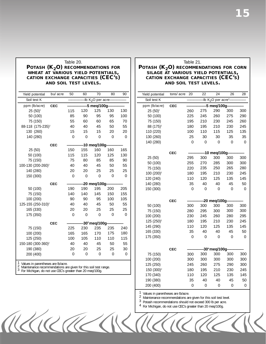#### Table 20. **POTASH (K<sub>2</sub>O) RECOMMENDATIONS FOR WHEAT AT VARIOUS YIELD POTENTIALS, CATION EXCHANGE CAPACITIES (CEC'S) AND SOIL TEST LEVELS.**

| Yield potential<br>bu/ acre |                                | 50         | 60             | 70             | 80                             | 90       |          |
|-----------------------------|--------------------------------|------------|----------------|----------------|--------------------------------|----------|----------|
|                             | Soil test K                    |            |                |                | -lb K <sub>2</sub> O per acre- |          |          |
|                             | ppm (lb/acre)                  |            |                | 5 meg/100g-    |                                |          |          |
|                             | $25(50)^{1}$                   | <b>CEC</b> | 115            | 120            | 125                            | 130      | 130      |
|                             | 50 (100)                       |            | 85             | 90             | 95                             | 95       | 100      |
|                             | 75 (150)                       |            | 55             | 60             | 60                             | 65       | 70       |
|                             | 88-118 (175-235) <sup>2</sup>  |            | 40             | 40             | 45                             | 50       | 55       |
|                             | 130 (260)                      |            | 15             | 15             | 15                             | 20       | 20       |
|                             | 140 (280)                      |            | $\overline{0}$ | 0              | 0                              | $\Omega$ | $\Omega$ |
|                             |                                | <b>CEC</b> |                |                | -10 meg/100g-                  |          |          |
|                             | 25 (50)                        |            | 150            | 155            | 160                            | 160      | 165      |
|                             | 50 (100)                       |            | 115            | 115            | 120                            | 125      | 130      |
|                             | 75 (150)                       |            | 75             | 80             | 85                             | 85       | 90       |
|                             | 100-130 (200-260) <sup>2</sup> |            | 40             | 40             | 45                             | 50       | 55       |
|                             | 140 (280)                      |            | 20             | 20             | 25                             | 25       | 25       |
|                             | 150 (300)                      |            | $\mathbf 0$    | $\overline{0}$ | $\overline{0}$                 | $\Omega$ | $\Omega$ |
|                             |                                | <b>CEC</b> |                |                | -20 meg/100g-                  |          |          |
|                             | 50 (100)                       |            | 190            | 190            | 195                            | 200      | 205      |
|                             | 75 (150)                       |            | 140            | 140            | 145                            | 150      | 155      |
|                             | 100 (200)                      |            | 90             | 90             | 95                             | 100      | 105      |
|                             | 125-155 (250-310) <sup>2</sup> |            | 40             | 40             | 45                             | 50       | 55       |
|                             | 165 (330)                      |            | 20             | 20             | 25                             | 25       | 25       |
|                             | 175 (350)                      |            | $\overline{0}$ | 0              | $\overline{0}$                 | $\Omega$ | $\Omega$ |
|                             |                                | <b>CEC</b> |                |                | -30 <sup>3</sup> meg/100g      |          |          |
|                             | 75 (150)                       |            | 225            | 230            | 235                            | 235      | 240      |
|                             | 100 (200)                      |            | 165            | 165            | 170                            | 175      | 180      |
|                             | 125 (250)                      |            | 100            | 105            | 110                            | 110      | 115      |
|                             | 150-180 (300-360) <sup>2</sup> |            | 40             | 40             | 45                             | 50       | 55       |
|                             | 190 (380)                      |            | 20             | 20             | 25                             | 25       | 30       |
|                             | 200 (400)                      |            | 0              | 0              | $\overline{0}$                 | 0        | 0        |
|                             |                                |            |                |                |                                |          |          |

1 Values in parentheses are lb/acre.<br>2 Maintenance recommendations are given for this soil test range.<br>3 For Michigan, do not use CEC's greater than 20 meq/100g.

#### Table 21.

#### POTASH (K<sub>2</sub>O) RECOMMENDATIONS FOR CORN **SILAGE AT VARIOUS YIELD POTENTIALS, CATION EXCHANGE CAPACITIES (CEC'S) AND SOIL TEST LEVELS.**

| Yield potential        | tons/acre  | 20             | 22       | 24                                | 26                  | 28                  |
|------------------------|------------|----------------|----------|-----------------------------------|---------------------|---------------------|
| Soil test K            |            |                |          | -lb $K2O$ per acre <sup>3</sup> - |                     |                     |
| ppm (lb/acre)          | <b>CEC</b> |                |          | 5 meg/100g-                       |                     |                     |
| $25(50)^{1}$           |            | 260            | 275      | 290                               | 300                 | 300                 |
| 50 (100)               |            | 225            | 245      | 260                               | 275                 | 290                 |
| 75 (150)               |            | 195            | 210      | 230                               | 245                 | 260                 |
| 88 (175) <sup>2</sup>  |            | 180            | 195      | 210                               | 230                 | 245                 |
| 110 (220)              |            | 100            | 110      | 115                               | 125                 | 135                 |
| 130 (260)              |            | 25             | 30       | 30                                | 35                  | 35                  |
| 140 (280)              |            | $\mathbf 0$    | 0        | 0                                 | $\mathsf{O}\xspace$ | $\mathsf{O}\xspace$ |
|                        | <b>CEC</b> |                |          | 10 meg/100g-                      |                     |                     |
| 25 (50)                |            | 295            | 300      | 300                               | 300                 | 300                 |
| 50 (100)               |            | 255            | 270      | 285                               | 300                 | 300                 |
| 75 (150)               |            | 220            | 235      | 250                               | 265                 | 280                 |
| 100 (200) <sup>2</sup> |            | 180            | 195      | 210                               | 230                 | 245                 |
| 120 (240)              |            | 110            | 120      | 125                               | 135                 | 145                 |
| 140 (280)              |            | 35             | 40       | 40                                | 45                  | 50                  |
| 150 (300)              |            | $\overline{0}$ | 0        | 0                                 | $\overline{0}$      | $\overline{0}$      |
|                        |            |                |          |                                   |                     |                     |
|                        | <b>CEC</b> |                |          | -20 meg/100g-                     |                     |                     |
| 50 (100)               |            | 300            | 300      | 300                               | 300                 | 300                 |
| 75 (150)               |            | 280            | 295      | 300                               | 300                 | 300                 |
| 100 (200)              |            | 230            | 245      | 260                               | 280                 | 295                 |
| 125 (250) <sup>2</sup> |            | 180            | 195      | 210                               | 230                 | 245                 |
| 145 (290)              |            | 110            | 120      | 125                               | 135                 | 145                 |
| 165 (330)              |            | 35             | 40       | 40                                | 45                  | 50                  |
| 175 (350)              |            | $\mathbf 0$    | 0        | 0                                 | $\mathsf{O}\xspace$ | 0                   |
|                        |            |                |          |                                   |                     |                     |
|                        | <b>CEC</b> |                |          | -30 <sup>4</sup> meg/100g-        |                     |                     |
| 75 (150)               |            | 300            | 300      | 300                               | 300                 | 300                 |
| 100 (200)              |            | 300            | 300      | 300                               | 300                 | 300                 |
| 125 (250)              |            | 245            | 260      | 275                               | 290                 | 300                 |
| 150 (300) <sup>2</sup> |            | 180            | 195      | 210                               | 230                 | 245                 |
| 170 (340)              |            | 110            | 120      | 125                               | 135                 | 145                 |
| 190 (380)              |            | 35             | 40       | 40                                | 45                  | 50                  |
| 200 (400)              |            | 0              | $\Omega$ | $\Omega$                          | $\Omega$            | $\overline{0}$      |

1 Values in parentheses are lb/acre. 2 Maintenance recommendations are given for this soil test level. 3 Potash recommendations should not exceed 300 lb per acre.

4 For Michigan, do not use CEC's greater than 20 meq/100g. ARARAKTRAN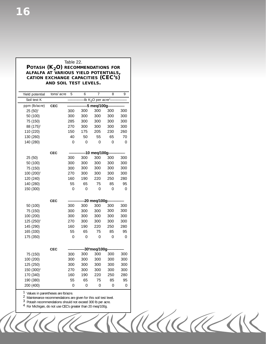#### Table 22. **POTASH (K<sub>2</sub>O) RECOMMENDATIONS FOR ALFALFA AT VARIOUS YIELD POTENTIALS, CATION EXCHANGE CAPACITIES (CEC'S) AND SOIL TEST LEVELS.**

| Yield potential        | tons/acre  | 5           | 6              | $\overline{7}$                               | 8        | 9                   |
|------------------------|------------|-------------|----------------|----------------------------------------------|----------|---------------------|
| Soil test K            |            |             |                | -lb K <sub>2</sub> O per acre <sup>3</sup> - |          |                     |
| ppm (lb/acre)          | <b>CEC</b> |             |                | 5 meg/100g-                                  |          |                     |
| $25(50)^{1}$           |            | 300         | 300            | 300                                          | 300      | 300                 |
| 50 (100)               |            | 300         | 300            | 300                                          | 300      | 300                 |
| 75 (150)               |            | 285         | 300            | 300                                          | 300      | 300                 |
| 88 (175) <sup>2</sup>  |            | 270         | 300            | 300                                          | 300      | 300                 |
| 110 (220)              |            | 150         | 175            | 205                                          | 230      | 260                 |
| 130 (260)              |            | 40          | 50             | 55                                           | 65       | 70                  |
| 140 (280)              |            | 0           | 0              | 0                                            | 0        | 0                   |
|                        |            |             |                |                                              |          |                     |
| 25 (50)                | <b>CEC</b> | 300         | 300            | 10 meq/100g-<br>300                          | 300      | 300                 |
| 50 (100)               |            | 300         | 300            | 300                                          | 300      | 300                 |
| 75 (150)               |            | 300         | 300            | 300                                          | 300      | 300                 |
| 100 (200) <sup>2</sup> |            | 270         | 300            | 300                                          | 300      | 300                 |
| 120 (240)              |            | 160         | 190            | 220                                          | 250      | 280                 |
| 140 (280)              |            | 55          | 65             | 75                                           | 85       | 95                  |
| 150 (300)              |            | $\mathbf 0$ | $\overline{O}$ | $\mathbf 0$                                  | 0        | $\mathsf{O}\xspace$ |
|                        |            |             |                |                                              |          |                     |
|                        | <b>CEC</b> |             |                | -20 meq/100g-                                |          |                     |
| 50 (100)               |            | 300         | 300            | 300                                          | 300      | 300                 |
| 75 (150)               |            | 300         | 300            | 300                                          | 300      | 300                 |
| 100 (200)              |            | 300         | 300            | 300                                          | 300      | 300                 |
| 125 (250) <sup>2</sup> |            | 270         | 300            | 300                                          | 300      | 300                 |
| 145 (290)              |            | 160         | 190            | 220                                          | 250      | 280                 |
| 165 (330)              |            | 55          | 65             | 75                                           | 85       | 95                  |
| 175 (350)              |            | $\mathbf 0$ | $\overline{O}$ | $\overline{O}$                               | 0        | $\mathsf{O}\xspace$ |
|                        |            |             |                |                                              |          |                     |
|                        | <b>CEC</b> |             |                | 30 <sup>4</sup> meq/100g-                    |          |                     |
| 75 (150)               |            | 300         | 300            | 300                                          | 300      | 300                 |
| 100 (200)              |            | 300         | 300            | 300                                          | 300      | 300                 |
| 125 (250)              |            | 300         | 300            | 300                                          | 300      | 300                 |
| 150 (300) <sup>2</sup> |            | 270         | 300            | 300                                          | 300      | 300                 |
| 170 (340)              |            | 160         | 190            | 220                                          | 250      | 280                 |
| 190 (380)              |            | 55          | 65             | 75                                           | 85       | 95                  |
| 200 (400)              |            | $\Omega$    | $\Omega$       | $\Omega$                                     | $\Omega$ | 0                   |

1 Values in parentheses are lb/acre. 2 Maintenance recommendations are given for this soil test level. 3 Potash recommendations should not exceed 300 lb per acre.

4 For Michigan, do not use CEC's greater than 20 meq/100g.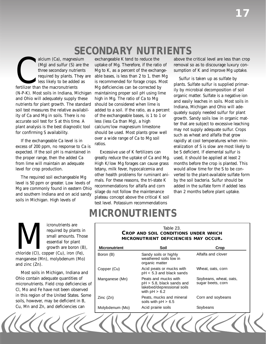# *SECONDARY NUTRIENTS*

alcium (Ca), magnesii<br>
(Mg) and sulfur (S) and<br>
three secondary nutric<br>
required by plants. The less likely to be added<br>
fertilizer than the macronutrients alcium (Ca), magnesium (Mg) and sulfur (S) are the three secondary nutrients required by plants. They are less likely to be added as (N-P-K). Most soils in Indiana, Michigan and Ohio will adequately supply these nutrients for plant growth. The standard soil test measures the relative availability of Ca and Mg in soils. There is no accurate soil test for S at this time. A plant analysis is the best diagnostic tool for confirming S availability.

If the exchangeable Ca level is in excess of 200 ppm, no response to Ca is expected. If the soil pH is maintained in the proper range, then the added Ca from lime will maintain an adequate level for crop production.

The required soil exchangeable Mg level is 50 ppm or greater. Low levels of Mg are commonly found in eastern Ohio and southern Indiana and on acid sandy soils in Michigan. High levels of

exchangeable K tend to reduce the uptake of Mg. Therefore, if the ratio of Mg to K, as a percent of the exchangeable bases, is less than 2 to 1, then Mg is recommended for forage crops. Most Mg deficiencies can be corrected by maintaining proper soil pH using lime high in Mg. The ratio of Ca to Mg should be considered when lime is added to a soil. If the ratio, as a percent of the exchangeable bases, is 1 to 1 or less (less Ca than Mg), a high calcium/low magnesium limestone should be used. Most plants grow well over a wide range of Ca to Mg soil ratios.

Excessive use of K fertilizers can greatly reduce the uptake of Ca and Mg. High K/low Mg forages can cause grass tetany, milk fever, hypocalcemia and other health problems for ruminant animals. For these reasons, the tri-state K recommendations for alfalfa and corn silage do not follow the maintenance plateau concept above the critical K soil test level. Potassium recommendations

above the critical level are less than crop removal so as to discourage luxury consumption of K and improve Mg uptake.

Sulfur is taken up as sulfate by plants. Sulfate sulfur is supplied primarily by microbial decomposition of soil organic matter. Sulfate is a negative ion and easily leaches in soils. Most soils in Indiana, Michigan and Ohio will adequately supply needed sulfur for plant growth. Sandy soils low in organic matter that are subject to excessive leaching may not supply adequate sulfur. Crops such as wheat and alfalfa that grow rapidly at cool temperatures when mineralization of S is slow are most likely to be S deficient. If elemental sulfur is used, it should be applied at least 2 months before the crop is planted. This would allow time for the S to be converted to the plant-available sulfate form by the soil bacteria. Sulfur should be added in the sulfate form if added less than 2 months before plant uptake.

# *MICRONUTRIENTS*

change is a contrients are required by plants in small amounts. Those sesential for plant growth are boron (B) chloride (Cl), copper (Cu), iron (Fe), required by plants in small amounts. Those essential for plant growth are boron  $(B)$ , manganese (Mn), molybdenum (Mo) and zinc (Zn).

Most soils in Michigan, Indiana and Ohio contain adequate quantities of micronutrients. Field crop deficiencies of Cl, Mo and Fe have not been observed in this region of the United States. Some soils, however, may be deficient in B, Cu, Mn and Zn, and deficiencies can

## Table 23. **CROP AND SOIL CONDITIONS UNDER WHICH MICRONUTRIENT DEFICIENCIES MAY OCCUR. Micronutrient Soil Solution Crop** Crop

| Boron (B)       | Sandy soils or highly<br>weathered soils low in<br>organic matter                                     | Alfalfa and clover                          |
|-----------------|-------------------------------------------------------------------------------------------------------|---------------------------------------------|
| Copper (Cu)     | Acid peats or mucks with<br>pH < 5.3 and black sands                                                  | Wheat, oats, corn                           |
| Manganese (Mn)  | Peats and mucks with<br>$pH > 5.8$ , black sands and<br>lakebed/depressional soils<br>with $pH > 6.2$ | Soybeans, wheat, oats,<br>sugar beets, corn |
| Zinc(Zn)        | Peats, mucks and mineral<br>soils with $pH > 6.5$                                                     | Corn and soybeans                           |
| Molybdenum (Mo) | Acid prairie soils                                                                                    | Soybeans                                    |
|                 |                                                                                                       |                                             |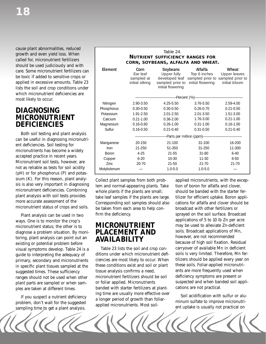cause plant abnormalities, reduced growth and even yield loss. When called for, micronutrient fertilizers should be used judiciously and with care. Some micronutrient fertilizers can be toxic if added to sensitive crops or applied in excessive amounts. Table 23 lists the soil and crop conditions under which micronutrient deficiencies are most likely to occur.

## **DIAGNOSING MICRONUTRIENT DEFICIENCIES**

Both soil testing and plant analysis can be useful in diagnosing micronutrient deficiencies. Soil testing for micronutrients has become a widely accepted practice in recent years. Micronutrient soil tests, however, are not as reliable as tests for soil acidity (pH) or for phosphorus (P) and potassium (K). For this reason, plant analysis is also very important in diagnosing micronutrient deficiencies. Combining plant analysis with soil tests provides more accurate assessment of the micronutrient status of crops and soils.

Plant analysis can be used in two ways. One is to monitor the crop's micronutrient status; the other is to diagnose a problem situation. By monitoring, plant analysis can point out an existing or potential problem before visual symptoms develop. Table 24 is a guide to interpreting the adequacy of primary, secondary and micronutrients in specific plant tissues sampled at the suggested times. These sufficiency ranges should not be used when other plant parts are sampled or when samples are taken at different times.

If you suspect a nutrient deficiency problem, don't wait for the suggested sampling time to get a plant analysis.

#### Table 24. **NUTRIENT SUFFICIENCY RANGES FOR CORN, SOYBEANS, ALFALFA AND WHEAT.**

| Element      | Corn<br>Ear leaf<br>sampled at<br>initial silking | Soybeans<br>Upper fully<br>developed leaf<br>sampled prior to<br>initial flowering | Alfalfa<br>Top 6 inches<br>initial flowering | Wheat<br>Upper leaves<br>sampled prior to sampled prior to<br>initial bloom |
|--------------|---------------------------------------------------|------------------------------------------------------------------------------------|----------------------------------------------|-----------------------------------------------------------------------------|
|              |                                                   | -Percent (%)-                                                                      |                                              |                                                                             |
| Nitrogen     | 2.90-3.50                                         | 4.25-5.50                                                                          | 3.76-5.50                                    | 2.59-4.00                                                                   |
| Phosphorus   | $0.30 - 0.50$                                     | $0.30 - 0.50$                                                                      | $0.26 - 0.70$                                | $0.21 - 0.50$                                                               |
| Potassium    | 1.91-2.50                                         | $2.01 - 2.50$                                                                      | $2.01 - 3.50$                                | $1.51 - 3.00$                                                               |
| Calcium      | $0.21 - 1.00$                                     | $0.36 - 2.00$                                                                      | 1.76-3.00                                    | $0.21 - 1.00$                                                               |
| Magnesium    | $0.16 - 0.60$                                     | $0.26 - 1.00$                                                                      | $0.31 - 1.00$                                | $0.16 - 1.00$                                                               |
| Sulfur       | $0.16 - 0.50$                                     | $0.21 - 0.40$                                                                      | $0.31 - 0.50$                                | $0.21 - 0.40$                                                               |
|              |                                                   | -Parts per million (ppm)-                                                          |                                              |                                                                             |
| Manganese    | 20-150                                            | $21 - 100$                                                                         | $31 - 100$                                   | 16-200                                                                      |
| Iron         | 21-250                                            | 51-350                                                                             | 31-250                                       | 11-300                                                                      |
| <b>Boron</b> | $4 - 25$                                          | 21-55                                                                              | $31 - 80$                                    | $6 - 40$                                                                    |
| Copper       | $6 - 20$                                          | $10 - 30$                                                                          | $11 - 30$                                    | $6 - 50$                                                                    |
| Zinc         | $20 - 70$                                         | $21 - 50$                                                                          | $21 - 70$                                    | $21 - 70$                                                                   |
| Molybdenum   |                                                   | $1.0 - 5.0$                                                                        | $1.0 - 5.0$                                  |                                                                             |

Collect plant samples from both problem and normal-appearing plants. Take whole plants if the plants are small; take leaf samples if the plants are large. Corresponding soil samples should also be taken from each area to help confirm the deficiency.

## **MICRONUTRIENT PLACEMENT AND AVAILABILITY**

Table 23 lists the soil and crop conditions under which micronutrient deficiencies are most likely to occur. When these conditions exist and soil or plant tissue analysis confirms a need, micronutrient fertilizers should be soil or foliar applied. Micronutrients banded with starter fertilizers at planting time are usually more effective over a longer period of growth than foliarapplied micronutrients. Most soilapplied micronutrients, with the exception of boron for alfalfa and clover, should be banded with the starter fertilizer for efficient uptake. Boron applications for alfalfa and clover should be broadcast with other fertilizers or sprayed on the soil surface. Broadcast applications of 5 to 10 lb Zn per acre may be used to alleviate Zn-deficient soils. Broadcast applications of Mn, however, are not recommended because of high soil fixation. Residual carryover of available Mn in deficient soils is very limited. Therefore, Mn fertilizers should be applied every year on these soils. Foliar-applied micronutrients are more frequently used when deficiency symptoms are present or suspected and when banded soil applications are not practical.

Soil acidification with sulfur or aluminum sulfate to improve micronutrient uptake is usually not practical on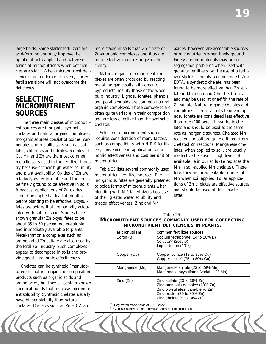large fields. Some starter fertilizers are acid-forming and may improve the uptake of both applied and native soil forms of micronutrients when deficiencies are slight. When micronutrient deficiencies are moderate or severe, starter fertilizers alone will not overcome the deficiency.

## **SELECTING MICRONUTRIENT SOURCES**

The three main classes of micronutrient sources are inorganic, synthetic chelates and natural organic complexes. Inorganic sources consist of oxides, carbonates and metallic salts such as sulfates, chlorides and nitrates. Sulfates of Cu, Mn and Zn are the most common metallic salts used in the fertilizer industry because of their high water solubility and plant availability. Oxides of Zn are relatively water insoluble and thus must be finely ground to be effective in soils. Broadcast applications of Zn oxides should be applied at least 4 months before planting to be effective. Oxysulfates are oxides that are partially acidulated with sulfuric acid. Studies have shown granular Zn oxysulfates to be about 35 to 50 percent water-soluble and immediately available to plants. Metal-ammonia complexes such as ammoniated Zn sulfate are also used by the fertilizer industry. Such complexes appear to decompose in soils and provide good agronomic effectiveness.

Chelates can be synthetic (manufactured) or natural organic decomposition products such as organic acids and amino acids, but they all contain known chemical bonds that increase micronutrient solubility. Synthetic chelates usually have higher stability than natural chelates. Chelates such as Zn-EDTA are

more stable in soils than Zn citrate or Zn-ammonia complexes and thus are more effective in correcting Zn deficiency.

Natural organic micronutrient complexes are often produced by reacting metal inorganic salts with organic byproducts, mainly those of the wood pulp industry. Lignosulfonates, phenols and polyflavonoids are common natural organic complexes. These complexes are often quite variable in their composition and are less effective than the synthetic chelates.

Selecting a micronutrient source requires consideration of many factors, such as compatibility with N-P-K fertilizers, convenience in application, agronomic effectiveness and cost per unit of micronutrient.

Table 25 lists several commonly used micronutrient fertilizer sources. The inorganic sulfates are generally preferred to oxide forms of micronutrients when blending with N-P-K fertilizers because of their greater water solubility and greater effectiveness. Zinc and Mn

oxides, however, are acceptable sources of micronutrients when finely ground. Finely ground materials may present segregation problems when used with granular fertilizers, so the use of a fertilizer sticker is highly recommended. Zinc EDTA, a synthetic chelate, has been found to be more effective than Zn sulfate in Michigan and Ohio field trials and may be used at one-fifth the rate of Zn sulfate. Natural organic chelates and complexes such as Zn citrate or Zn lignosulfonate are considered less effective than true (100 percent) synthetic chelates and should be used at the same rate as inorganic sources. Chelated Mn reactions in soil are quite different from chelated Zn reactions. Manganese chelates, when applied to soil, are usually ineffective because of high levels of available Fe in our soils (Fe replaces the Mn in soil-applied Mn chelates). Therefore, they are unacceptable sources of Mn when soil applied. Foliar applications of Zn chelates are effective sources and should be used at their labeled rates.

#### Boron (B) Table 25. **MICRONUTRIENT SOURCES COMMONLY USED FOR CORRECTING MICRONUTRIENT DEFICIENCIES IN PLANTS. Micronutrient Common fertilizer sources**  Sodium tetraborate (14 to 20% B) Solubor® (20% B) Liquid boron (10%) Copper (Cu) Copper sulfate (13 to 35% Cu) Copper oxide1 (75 to 89% Cu) Manganese (Mn) Manganese sulfate (23 to 28% Mn) Manganese oxysulfates (variable % Mn) Zinc (Zn) Zinc sulfate (23 to 36% Zn) Zinc-ammonia complex (10% Zn) Zinc oxysulfates (variable % Zn) Zinc oxide1 (50 to 80% Zn) Zinc chelate (9 to 14% Zn) <sup>®</sup> Registered trade name of U.S. Borax.<br><sup>1</sup> Granular oxides are not effective sources of micronutrients.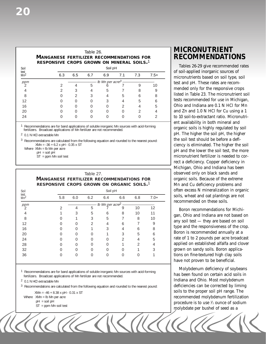#### Table 26.

**MANGANESE FERTILIZER RECOMMENDATIONS FOR RESPONSIVE CROPS GROWN ON MINERAL SOILS** 1 **.**

| Soil                    |     |     |     | Soil pH                       |   |     |        |
|-------------------------|-----|-----|-----|-------------------------------|---|-----|--------|
| test<br>Mn <sup>2</sup> | 6.3 | 6.5 | 6.7 | 6.9                           |   | 7.3 | $7.5+$ |
| ppm                     |     |     |     | Ib Mn per acre <sup>3</sup> . |   |     |        |
|                         |     |     | 5   |                               |   | Q   | 10     |
|                         |     |     | 4   | 5                             |   | 8   |        |
| 8                       |     |     | 3   |                               | 5 | h   | 8      |
| 12                      |     |     |     | 3                             | 4 | 5   |        |
| 16                      |     |     |     |                               |   |     | 5      |
| 20                      |     |     | Ω   | ( )                           |   |     |        |
| 24                      |     |     |     |                               |   |     |        |
|                         |     |     |     |                               |   |     |        |

<sup>1</sup> Recommendations are for band applications of soluble inorganic Mn sources with acid-forming fertilizers. Broadcast applications of Mn fertilizer are not recommended.

2 0.1 N HCl extractable Mn

3 Recommendations are calculated from the following equation and rounded to the nearest pound:  $X$ Mn =  $-36 + 6.2$  x pH  $- 0.35$  x ST

Where  $XMn = Ib Mn$  per acre

 $pH = soil pH$ 

ST = ppm Mn soil test

#### Table 27. **MANGANESE FERTILIZER RECOMMENDATIONS FOR RESPONSIVE CROPS GROWN ON ORGANIC SOILS** 1**.**

| Soil                    |                |                             |     | Soil pH |                |                |        |  |
|-------------------------|----------------|-----------------------------|-----|---------|----------------|----------------|--------|--|
| test<br>Mn <sup>2</sup> | 5.8            | 6.0                         | 6.2 | 6.4     | 6.6            | 6.8            | $7.0+$ |  |
| ppm                     |                | Ib Mn per acre <sup>2</sup> |     |         |                |                |        |  |
| 2                       | $\mathfrak{D}$ | 4                           | 5   |         | 9              | 10             | 12     |  |
| $\overline{4}$          |                | 3                           | 5   | 6       | 8              | 10             | 11     |  |
| 8                       |                |                             | 3   | 5       | 7              | 8              | 10     |  |
| 12                      |                |                             | 2   | 4       | 6              |                | 9      |  |
| 16                      |                |                             |     | 3       | 4              | 6              | 8      |  |
| 20                      |                |                             |     |         | 3              | 5              | 6      |  |
| 24                      |                |                             | Ω   |         | $\overline{2}$ | 4              | 5      |  |
| 28                      |                |                             |     |         |                | $\overline{2}$ | 4      |  |
| 32                      |                |                             |     |         |                |                | 3      |  |
| 36                      | ∩              | С                           | ∩   | ∩       | $\cap$         | Λ              |        |  |
|                         |                |                             |     |         |                |                |        |  |

<sup>1</sup> Recommendations are for band applications of soluble inorganic Mn sources with acid-forming fertilizers. Broadcast applications of Mn fertilizer are not recommended.

2 0.1 N HCl extractable Mn

<sup>3</sup> Recommendations are calculated from the following equation and rounded to the nearest pound:

XMn = -46 + 8.38 x pH - 0.31 x ST Where  $XMn = lb$  Mn per acre

pH = soil pH

ST = ppm Mn soil test

## **MICRONUTRIENT RECOMMENDATIONS**

Tables 26-29 give recommended rates of soil-applied inorganic sources of m icronutrients based on soil type, soil m ended only for the responsive crops li sted in Table 23. The micronutrient soil e nt availability in both mineral and o rganic soils is highly regulated by soil p H. The higher the soil pH, the higher t he soil test should be before a defici ency is eliminated. The higher the soil p H and the lower the soil test, the more m icronutrient fertilizer is needed to corre ct a deficiency. Copper deficiency in test and pH. These rates are recomtests recommended for use in Michigan, hio and Indiana are 0.1 N HCl for Mn nd Zn and 1.0 N HCl for Cu using a 1 10 soil-to-extractant ratio. Micronutri-Michigan, Ohio and Indiana has been observed only on black sands and organic soils. Because of the extreme Mn and Cu deficiency problems and often excess N mineralization in organic soils, wheat and oat plantings are not recommended on these soils.

Boron recommendations for Michigan, Ohio and Indiana are not based on any soil test — they are based on soil type and the responsiveness of the crop. Boron is recommended annually at a rate of 1 to 2 pounds per acre broadcast applied on established alfalfa and clover grown on sandy soils. Boron applications on fine-textured high clay soils have not proven to be beneficial.

Molybdenum deficiency of soybeans has been found on certain acid soils in Indiana and Ohio. Most molybdenum deficiencies can be corrected by liming soils to the proper soil pH range. The recommended molybdenum fertilization procedure is to use 1 ⁄2 ounce of sodium molybdate per bushel of seed as a

 $\sqrt{\sqrt{6}}$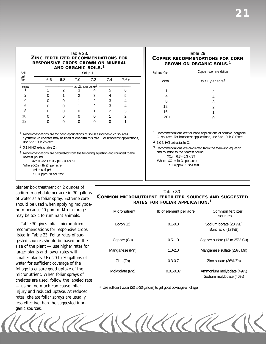#### Table 28. **ZINC FERTILIZER RECOMMENDATIONS FOR RESPONSIVE CROPS GROWN ON MINERAL AND ORGANIC SOILS.**1

| Soil                    |     |     |     | Soil pH                         |     |        |  |
|-------------------------|-----|-----|-----|---------------------------------|-----|--------|--|
| test<br>Zn <sup>2</sup> | 6.6 | 6.8 | 7.0 | 7.2                             | 7.4 | $7.6+$ |  |
| ppm                     |     |     |     | - Ib Zn per acre <sup>3</sup> - |     |        |  |
|                         |     |     |     |                                 | 5   |        |  |
|                         |     |     |     |                                 |     | 5      |  |
|                         |     |     |     |                                 |     |        |  |
| 6                       |     |     |     |                                 |     |        |  |
| 8                       |     |     |     |                                 |     | ς      |  |
| 10                      |     |     |     |                                 |     |        |  |
| 12                      |     |     |     |                                 |     |        |  |

<sup>1</sup> Recommendations are for band applications of soluble inorganic Zn sources. Synthetic Zn chelates may be used at one-fifth this rate. For broadcast applications, use 5 to 10 lb Zn/acre.

2 0.1 N HCl extractable Zn

3 Recommendations are calculated from the following equation and rounded to the nearest pound:

XZn = -32 + 5.0 x pH - 0.4 x ST

Where  $XZn = lb$  Zn per acre

pH = soil pH

ST = ppm Zn soil test

planter box treatment or 2 ounces of num because 10 ppm of Mo in forage may be toxic to ruminant animals.

Table 30 gives foliar micronutrient recommendations for responsive crops listed in Table 23. Foliar rates of suggested sources should be based on the size of the plant — use higher rates for larger plants and lower rates with smaller plants. Use 20 to 30 gallons of water for sufficient coverage of the foliage to ensure good uptake of the micronutrient. When foliar sprays of chelates are used, follow the labeled rate — using too much can cause foliar injury and reduced uptake. At reduced rates, chelate foliar sprays are usually less effective than the suggested inorganic sources.

sodium molybdate per acre in 30 gallons<br>of water as a foliar spray. Extreme care<br>should be used when applying molybde-<br>**COMMON MICRONUTRIENT FERTILIZER SOURCES AND SUGGESTED**<br>**RATES FOR FOLIAR APPLICATION.**<sup>1</sup>

| Micronutrient                                                             | Ib of element per acre | Common fertilizer<br>sources                       |  |  |  |  |  |
|---------------------------------------------------------------------------|------------------------|----------------------------------------------------|--|--|--|--|--|
| Boron (B)                                                                 | $0.1 - 0.3$            | Sodium borate (20 %B)<br>Boric acid (17%B)         |  |  |  |  |  |
| Copper (Cu)                                                               | $0.5 - 1.0$            | Copper sulfate (13 to 25% Cu)                      |  |  |  |  |  |
| Manganese (Mn)                                                            | $1.0 - 2.0$            | Manganese sulfate (28% Mn)                         |  |  |  |  |  |
| Zinc(Zn)                                                                  | $0.3 - 0.7$            | Zinc sulfate (36% Zn)                              |  |  |  |  |  |
| Molybdate (Mo)                                                            | $0.01 - 0.07$          | Ammonium molybdate (49%)<br>Sodium molybdate (46%) |  |  |  |  |  |
| I Ise sufficient water (20 to 30 gallons) to get good coverage of foliage |                        |                                                    |  |  |  |  |  |

<sup>1</sup> Use sufficient water (20 to 30 gallons) to get good coverage of foliage.

TREMAND MA

## Table 29. **COPPER RECOMMENDATIONS FOR CORN GROWN ON ORGANIC SOILS.**1

| Soil test Cu <sup>2</sup>                                             | Copper recommendation                                                                                                             |
|-----------------------------------------------------------------------|-----------------------------------------------------------------------------------------------------------------------------------|
| ppm                                                                   | lb Cu per acre <sup>3</sup>                                                                                                       |
| 1                                                                     | 4                                                                                                                                 |
| 4                                                                     | 4                                                                                                                                 |
| 8                                                                     | 3                                                                                                                                 |
| 12                                                                    | $\overline{2}$                                                                                                                    |
| 16                                                                    | 1                                                                                                                                 |
| $20+$                                                                 | ∩                                                                                                                                 |
|                                                                       |                                                                                                                                   |
|                                                                       | Recommendations are for band applications of soluble inorganic<br>Cu sources. For broadcast applications, use 5 to 10 lb Cu/acre. |
| 1.0 N HCI extractable Cu<br>2                                         |                                                                                                                                   |
| 3<br>and rounded to the nearest pound:<br>$XCu = 6.3 - 0.3 \times ST$ | Recommendations are calculated from the following equation                                                                        |
| Where $XCu = Ib Cu per acre$                                          |                                                                                                                                   |

ST = ppm Cu soil test